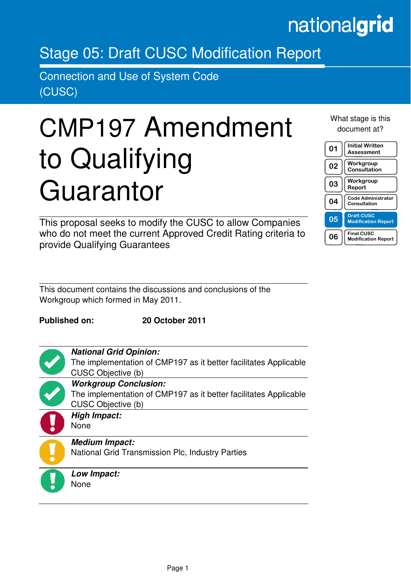## nationalgrid

## Stage 05: Draft CUSC Modification Report

Connection and Use of System Code (CUSC)

# CMP197 Amendment to Qualifying Guarantor

This proposal seeks to modify the CUSC to allow Companies who do not meet the current Approved Credit Rating criteria to provide Qualifying Guarantees

This document contains the discussions and conclusions of the Workgroup which formed in May 2011.

**Published on: 20 October 2011** 



in the contract of the contract of the contract of the contract of the contract of the contract of the contract of the contract of the contract of the contract of the contract of the contract of the contract of the contrac

**National Grid Opinion:**  The implementation of CMP197 as it better facilitates Applicable CUSC Objective (b) **Workgroup Conclusion:**  The implementation of CMP197 as it better facilitates Applicable CUSC Objective (b) **High Impact:**  None



**Medium Impact:** 

National Grid Transmission Plc, Industry Parties

**Low Impact:**  None

## What stage is this document at?

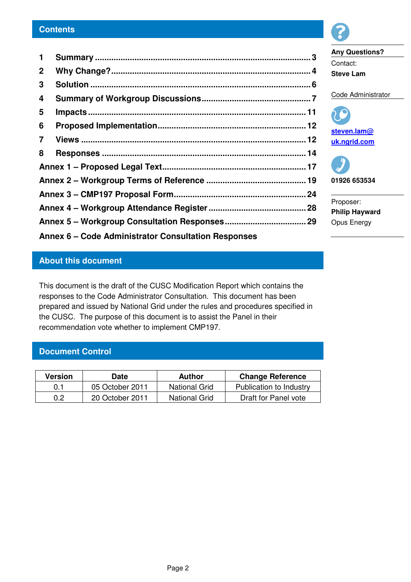| $\mathbf 1$                                         |  |  |  |  |
|-----------------------------------------------------|--|--|--|--|
| $\mathbf{2}$                                        |  |  |  |  |
| 3                                                   |  |  |  |  |
| 4                                                   |  |  |  |  |
| 5                                                   |  |  |  |  |
| 6                                                   |  |  |  |  |
| $\overline{7}$                                      |  |  |  |  |
| 8                                                   |  |  |  |  |
|                                                     |  |  |  |  |
|                                                     |  |  |  |  |
|                                                     |  |  |  |  |
|                                                     |  |  |  |  |
|                                                     |  |  |  |  |
| Annex 6 – Code Administrator Consultation Responses |  |  |  |  |

**Any Questions?** 

Code Administrator

**steven.lam@ uk.ngrid.com** 

**01926 653534** 

**Philip Hayward**  Opus Energy

Proposer:

Contact: **Steve Lam** 

## **About this document**

This document is the draft of the CUSC Modification Report which contains the responses to the Code Administrator Consultation. This document has been prepared and issued by National Grid under the rules and procedures specified in the CUSC. The purpose of this document is to assist the Panel in their recommendation vote whether to implement CMP197.

## **Document Control**

| Version | Date            | Author               | <b>Change Reference</b> |
|---------|-----------------|----------------------|-------------------------|
| 0.1     | 05 October 2011 | National Grid        | Publication to Industry |
| 0.2     | 20 October 2011 | <b>National Grid</b> | Draft for Panel vote    |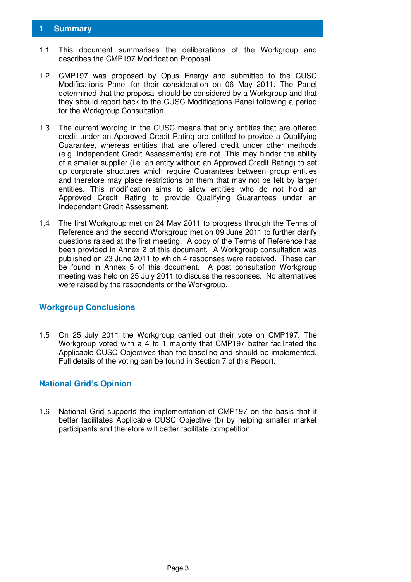## **1 Summary**

- 1.1 This document summarises the deliberations of the Workgroup and describes the CMP197 Modification Proposal.
- 1.2 CMP197 was proposed by Opus Energy and submitted to the CUSC Modifications Panel for their consideration on 06 May 2011. The Panel determined that the proposal should be considered by a Workgroup and that they should report back to the CUSC Modifications Panel following a period for the Workgroup Consultation.
- 1.3 The current wording in the CUSC means that only entities that are offered credit under an Approved Credit Rating are entitled to provide a Qualifying Guarantee, whereas entities that are offered credit under other methods (e.g. Independent Credit Assessments) are not. This may hinder the ability of a smaller supplier (i.e. an entity without an Approved Credit Rating) to set up corporate structures which require Guarantees between group entities and therefore may place restrictions on them that may not be felt by larger entities. This modification aims to allow entities who do not hold an Approved Credit Rating to provide Qualifying Guarantees under an Independent Credit Assessment.
- 1.4 The first Workgroup met on 24 May 2011 to progress through the Terms of Reference and the second Workgroup met on 09 June 2011 to further clarify questions raised at the first meeting. A copy of the Terms of Reference has been provided in Annex 2 of this document. A Workgroup consultation was published on 23 June 2011 to which 4 responses were received. These can be found in Annex 5 of this document. A post consultation Workgroup meeting was held on 25 July 2011 to discuss the responses. No alternatives were raised by the respondents or the Workgroup.

## **Workgroup Conclusions**

1.5 On 25 July 2011 the Workgroup carried out their vote on CMP197. The Workgroup voted with a 4 to 1 majority that CMP197 better facilitated the Applicable CUSC Objectives than the baseline and should be implemented. Full details of the voting can be found in Section 7 of this Report.

## **National Grid's Opinion**

1.6 National Grid supports the implementation of CMP197 on the basis that it better facilitates Applicable CUSC Objective (b) by helping smaller market participants and therefore will better facilitate competition.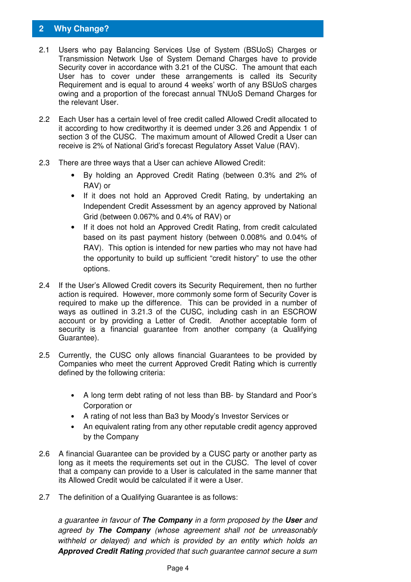## **2 Why Change?**

- 2.1 Users who pay Balancing Services Use of System (BSUoS) Charges or Transmission Network Use of System Demand Charges have to provide Security cover in accordance with 3.21 of the CUSC. The amount that each User has to cover under these arrangements is called its Security Requirement and is equal to around 4 weeks' worth of any BSUoS charges owing and a proportion of the forecast annual TNUoS Demand Charges for the relevant User.
- 2.2 Each User has a certain level of free credit called Allowed Credit allocated to it according to how creditworthy it is deemed under 3.26 and Appendix 1 of section 3 of the CUSC. The maximum amount of Allowed Credit a User can receive is 2% of National Grid's forecast Regulatory Asset Value (RAV).
- 2.3 There are three ways that a User can achieve Allowed Credit:
	- By holding an Approved Credit Rating (between 0.3% and 2% of RAV) or
	- If it does not hold an Approved Credit Rating, by undertaking an Independent Credit Assessment by an agency approved by National Grid (between 0.067% and 0.4% of RAV) or
	- If it does not hold an Approved Credit Rating, from credit calculated based on its past payment history (between 0.008% and 0.04% of RAV). This option is intended for new parties who may not have had the opportunity to build up sufficient "credit history" to use the other options.
- 2.4 If the User's Allowed Credit covers its Security Requirement, then no further action is required. However, more commonly some form of Security Cover is required to make up the difference. This can be provided in a number of ways as outlined in 3.21.3 of the CUSC, including cash in an ESCROW account or by providing a Letter of Credit. Another acceptable form of security is a financial guarantee from another company (a Qualifying Guarantee).
- 2.5 Currently, the CUSC only allows financial Guarantees to be provided by Companies who meet the current Approved Credit Rating which is currently defined by the following criteria:
	- A long term debt rating of not less than BB- by Standard and Poor's Corporation or
	- A rating of not less than Ba3 by Moody's Investor Services or
	- An equivalent rating from any other reputable credit agency approved by the Company
- 2.6 A financial Guarantee can be provided by a CUSC party or another party as long as it meets the requirements set out in the CUSC. The level of cover that a company can provide to a User is calculated in the same manner that its Allowed Credit would be calculated if it were a User.
- 2.7 The definition of a Qualifying Guarantee is as follows:

a guarantee in favour of **The Company** in a form proposed by the **User** and agreed by **The Company** (whose agreement shall not be unreasonably withheld or delayed) and which is provided by an entity which holds an **Approved Credit Rating** provided that such guarantee cannot secure a sum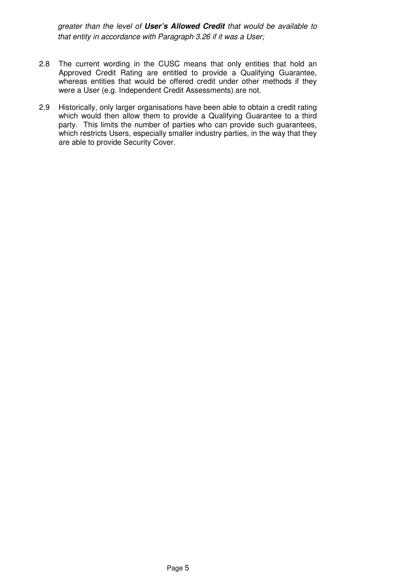greater than the level of **User's Allowed Credit** that would be available to that entity in accordance with Paragraph 3.26 if it was a User;

- 2.8 The current wording in the CUSC means that only entities that hold an Approved Credit Rating are entitled to provide a Qualifying Guarantee, whereas entities that would be offered credit under other methods if they were a User (e.g. Independent Credit Assessments) are not.
- 2.9 Historically, only larger organisations have been able to obtain a credit rating which would then allow them to provide a Qualifying Guarantee to a third party. This limits the number of parties who can provide such guarantees, which restricts Users, especially smaller industry parties, in the way that they are able to provide Security Cover.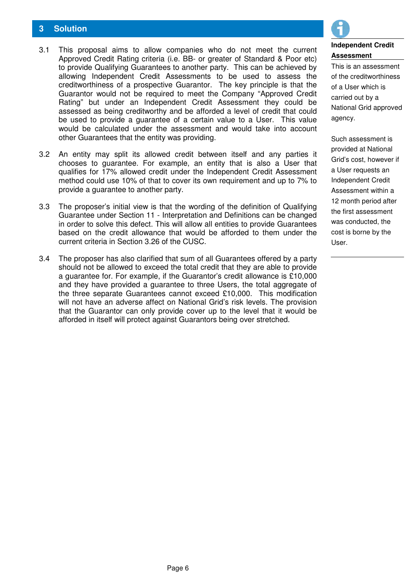## **3 Solution**

- 3.1 This proposal aims to allow companies who do not meet the current Approved Credit Rating criteria (i.e. BB- or greater of Standard & Poor etc) to provide Qualifying Guarantees to another party. This can be achieved by allowing Independent Credit Assessments to be used to assess the creditworthiness of a prospective Guarantor. The key principle is that the Guarantor would not be required to meet the Company "Approved Credit Rating" but under an Independent Credit Assessment they could be assessed as being creditworthy and be afforded a level of credit that could be used to provide a guarantee of a certain value to a User. This value would be calculated under the assessment and would take into account other Guarantees that the entity was providing.
- 3.2 An entity may split its allowed credit between itself and any parties it chooses to guarantee. For example, an entity that is also a User that qualifies for 17% allowed credit under the Independent Credit Assessment method could use 10% of that to cover its own requirement and up to 7% to provide a guarantee to another party.
- 3.3 The proposer's initial view is that the wording of the definition of Qualifying Guarantee under Section 11 - Interpretation and Definitions can be changed in order to solve this defect. This will allow all entities to provide Guarantees based on the credit allowance that would be afforded to them under the current criteria in Section 3.26 of the CUSC.
- 3.4 The proposer has also clarified that sum of all Guarantees offered by a party should not be allowed to exceed the total credit that they are able to provide a guarantee for. For example, if the Guarantor's credit allowance is £10,000 and they have provided a guarantee to three Users, the total aggregate of the three separate Guarantees cannot exceed £10,000. This modification will not have an adverse affect on National Grid's risk levels. The provision that the Guarantor can only provide cover up to the level that it would be afforded in itself will protect against Guarantors being over stretched.



## **Independent Credit Assessment**

This is an assessment of the creditworthiness of a User which is carried out by a National Grid approved agency.

Such assessment is provided at National Grid's cost, however if a User requests an Independent Credit Assessment within a 12 month period after the first assessment was conducted, the cost is borne by the User.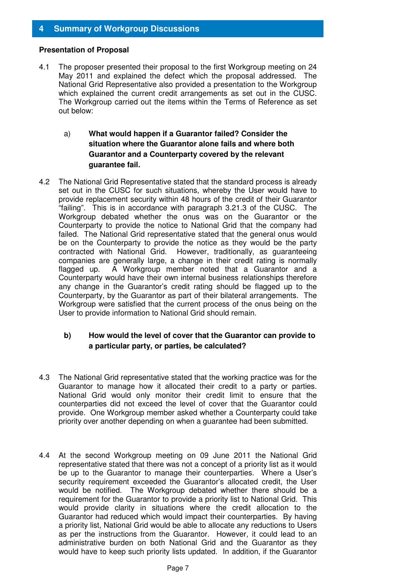## **4 Summary of Workgroup Discussions**

#### **Presentation of Proposal**

- 4.1 The proposer presented their proposal to the first Workgroup meeting on 24 May 2011 and explained the defect which the proposal addressed. The National Grid Representative also provided a presentation to the Workgroup which explained the current credit arrangements as set out in the CUSC. The Workgroup carried out the items within the Terms of Reference as set out below:
	- a) **What would happen if a Guarantor failed? Consider the situation where the Guarantor alone fails and where both Guarantor and a Counterparty covered by the relevant guarantee fail.**
- 4.2 The National Grid Representative stated that the standard process is already set out in the CUSC for such situations, whereby the User would have to provide replacement security within 48 hours of the credit of their Guarantor "failing". This is in accordance with paragraph 3.21.3 of the CUSC. The Workgroup debated whether the onus was on the Guarantor or the Counterparty to provide the notice to National Grid that the company had failed. The National Grid representative stated that the general onus would be on the Counterparty to provide the notice as they would be the party contracted with National Grid. However, traditionally, as guaranteeing companies are generally large, a change in their credit rating is normally flagged up. A Workgroup member noted that a Guarantor and a Counterparty would have their own internal business relationships therefore any change in the Guarantor's credit rating should be flagged up to the Counterparty, by the Guarantor as part of their bilateral arrangements. The Workgroup were satisfied that the current process of the onus being on the User to provide information to National Grid should remain.

## **b) How would the level of cover that the Guarantor can provide to a particular party, or parties, be calculated?**

- 4.3 The National Grid representative stated that the working practice was for the Guarantor to manage how it allocated their credit to a party or parties. National Grid would only monitor their credit limit to ensure that the counterparties did not exceed the level of cover that the Guarantor could provide. One Workgroup member asked whether a Counterparty could take priority over another depending on when a guarantee had been submitted.
- 4.4 At the second Workgroup meeting on 09 June 2011 the National Grid representative stated that there was not a concept of a priority list as it would be up to the Guarantor to manage their counterparties. Where a User's security requirement exceeded the Guarantor's allocated credit, the User would be notified. The Workgroup debated whether there should be a requirement for the Guarantor to provide a priority list to National Grid. This would provide clarity in situations where the credit allocation to the Guarantor had reduced which would impact their counterparties. By having a priority list, National Grid would be able to allocate any reductions to Users as per the instructions from the Guarantor. However, it could lead to an administrative burden on both National Grid and the Guarantor as they would have to keep such priority lists updated. In addition, if the Guarantor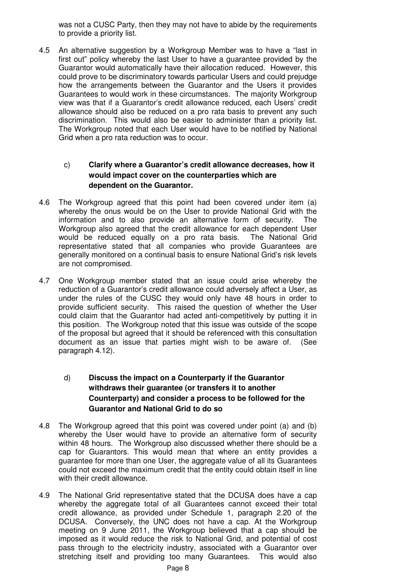was not a CUSC Party, then they may not have to abide by the requirements to provide a priority list.

4.5 An alternative suggestion by a Workgroup Member was to have a "last in first out" policy whereby the last User to have a guarantee provided by the Guarantor would automatically have their allocation reduced. However, this could prove to be discriminatory towards particular Users and could prejudge how the arrangements between the Guarantor and the Users it provides Guarantees to would work in these circumstances. The majority Workgroup view was that if a Guarantor's credit allowance reduced, each Users' credit allowance should also be reduced on a pro rata basis to prevent any such discrimination. This would also be easier to administer than a priority list. The Workgroup noted that each User would have to be notified by National Grid when a pro rata reduction was to occur.

## c) **Clarify where a Guarantor's credit allowance decreases, how it would impact cover on the counterparties which are dependent on the Guarantor.**

- 4.6 The Workgroup agreed that this point had been covered under item (a) whereby the onus would be on the User to provide National Grid with the information and to also provide an alternative form of security. The Workgroup also agreed that the credit allowance for each dependent User would be reduced equally on a pro rata basis. The National Grid representative stated that all companies who provide Guarantees are generally monitored on a continual basis to ensure National Grid's risk levels are not compromised.
- 4.7 One Workgroup member stated that an issue could arise whereby the reduction of a Guarantor's credit allowance could adversely affect a User, as under the rules of the CUSC they would only have 48 hours in order to provide sufficient security. This raised the question of whether the User could claim that the Guarantor had acted anti-competitively by putting it in this position. The Workgroup noted that this issue was outside of the scope of the proposal but agreed that it should be referenced with this consultation document as an issue that parties might wish to be aware of. (See paragraph 4.12).

## d) **Discuss the impact on a Counterparty if the Guarantor withdraws their guarantee (or transfers it to another Counterparty) and consider a process to be followed for the Guarantor and National Grid to do so**

- 4.8 The Workgroup agreed that this point was covered under point (a) and (b) whereby the User would have to provide an alternative form of security within 48 hours. The Workgroup also discussed whether there should be a cap for Guarantors. This would mean that where an entity provides a guarantee for more than one User, the aggregate value of all its Guarantees could not exceed the maximum credit that the entity could obtain itself in line with their credit allowance.
- 4.9 The National Grid representative stated that the DCUSA does have a cap whereby the aggregate total of all Guarantees cannot exceed their total credit allowance, as provided under Schedule 1, paragraph 2.20 of the DCUSA. Conversely, the UNC does not have a cap. At the Workgroup meeting on 9 June 2011, the Workgroup believed that a cap should be imposed as it would reduce the risk to National Grid, and potential of cost pass through to the electricity industry, associated with a Guarantor over stretching itself and providing too many Guarantees. This would also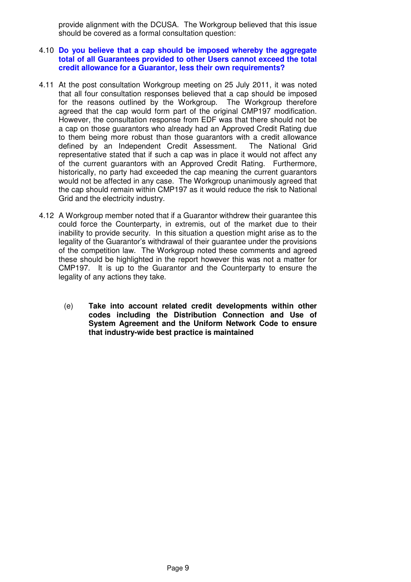provide alignment with the DCUSA. The Workgroup believed that this issue should be covered as a formal consultation question:

#### 4.10 **Do you believe that a cap should be imposed whereby the aggregate total of all Guarantees provided to other Users cannot exceed the total credit allowance for a Guarantor, less their own requirements?**

- 4.11 At the post consultation Workgroup meeting on 25 July 2011, it was noted that all four consultation responses believed that a cap should be imposed for the reasons outlined by the Workgroup. The Workgroup therefore agreed that the cap would form part of the original CMP197 modification. However, the consultation response from EDF was that there should not be a cap on those guarantors who already had an Approved Credit Rating due to them being more robust than those guarantors with a credit allowance defined by an Independent Credit Assessment. The National Grid representative stated that if such a cap was in place it would not affect any of the current guarantors with an Approved Credit Rating. Furthermore, historically, no party had exceeded the cap meaning the current guarantors would not be affected in any case. The Workgroup unanimously agreed that the cap should remain within CMP197 as it would reduce the risk to National Grid and the electricity industry.
- 4.12 A Workgroup member noted that if a Guarantor withdrew their guarantee this could force the Counterparty, in extremis, out of the market due to their inability to provide security. In this situation a question might arise as to the legality of the Guarantor's withdrawal of their guarantee under the provisions of the competition law. The Workgroup noted these comments and agreed these should be highlighted in the report however this was not a matter for CMP197. It is up to the Guarantor and the Counterparty to ensure the legality of any actions they take.
	- (e) **Take into account related credit developments within other codes including the Distribution Connection and Use of System Agreement and the Uniform Network Code to ensure that industry-wide best practice is maintained**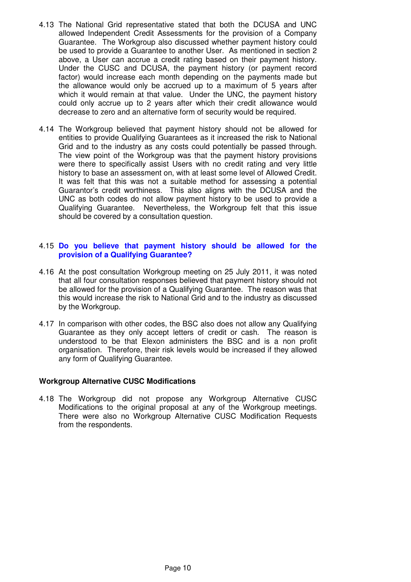- 4.13 The National Grid representative stated that both the DCUSA and UNC allowed Independent Credit Assessments for the provision of a Company Guarantee. The Workgroup also discussed whether payment history could be used to provide a Guarantee to another User. As mentioned in section 2 above, a User can accrue a credit rating based on their payment history. Under the CUSC and DCUSA, the payment history (or payment record factor) would increase each month depending on the payments made but the allowance would only be accrued up to a maximum of 5 years after which it would remain at that value. Under the UNC, the payment history could only accrue up to 2 years after which their credit allowance would decrease to zero and an alternative form of security would be required.
- 4.14 The Workgroup believed that payment history should not be allowed for entities to provide Qualifying Guarantees as it increased the risk to National Grid and to the industry as any costs could potentially be passed through. The view point of the Workgroup was that the payment history provisions were there to specifically assist Users with no credit rating and very little history to base an assessment on, with at least some level of Allowed Credit. It was felt that this was not a suitable method for assessing a potential Guarantor's credit worthiness. This also aligns with the DCUSA and the UNC as both codes do not allow payment history to be used to provide a Qualifying Guarantee. Nevertheless, the Workgroup felt that this issue should be covered by a consultation question.

#### 4.15 **Do you believe that payment history should be allowed for the provision of a Qualifying Guarantee?**

- 4.16 At the post consultation Workgroup meeting on 25 July 2011, it was noted that all four consultation responses believed that payment history should not be allowed for the provision of a Qualifying Guarantee. The reason was that this would increase the risk to National Grid and to the industry as discussed by the Workgroup.
- 4.17 In comparison with other codes, the BSC also does not allow any Qualifying Guarantee as they only accept letters of credit or cash. The reason is understood to be that Elexon administers the BSC and is a non profit organisation. Therefore, their risk levels would be increased if they allowed any form of Qualifying Guarantee.

## **Workgroup Alternative CUSC Modifications**

4.18 The Workgroup did not propose any Workgroup Alternative CUSC Modifications to the original proposal at any of the Workgroup meetings. There were also no Workgroup Alternative CUSC Modification Requests from the respondents.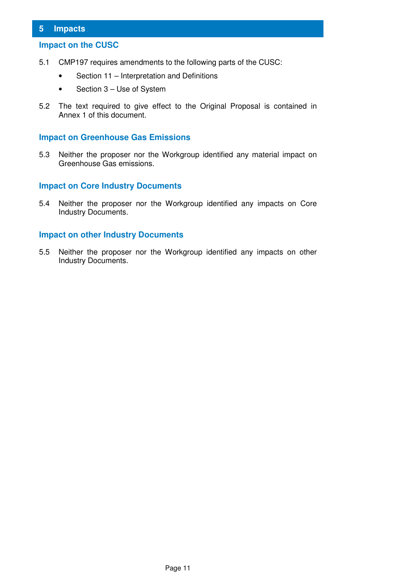## **5 Impacts**

## **Impact on the CUSC**

- 5.1 CMP197 requires amendments to the following parts of the CUSC:
	- Section 11 Interpretation and Definitions
	- Section 3 Use of System
- 5.2 The text required to give effect to the Original Proposal is contained in Annex 1 of this document.

#### **Impact on Greenhouse Gas Emissions**

5.3 Neither the proposer nor the Workgroup identified any material impact on Greenhouse Gas emissions.

## **Impact on Core Industry Documents**

5.4 Neither the proposer nor the Workgroup identified any impacts on Core Industry Documents.

## **Impact on other Industry Documents**

5.5 Neither the proposer nor the Workgroup identified any impacts on other Industry Documents.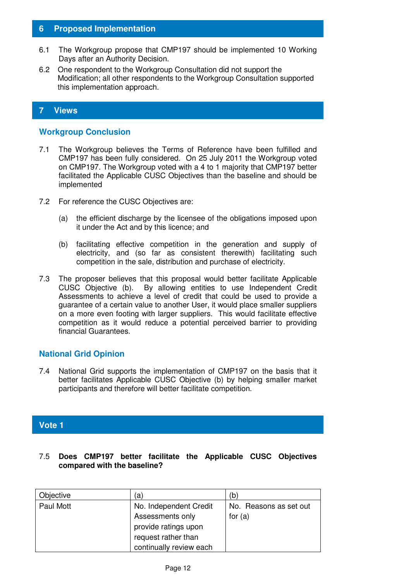## **6 Proposed Implementation**

- 6.1 The Workgroup propose that CMP197 should be implemented 10 Working Days after an Authority Decision.
- 6.2 One respondent to the Workgroup Consultation did not support the Modification; all other respondents to the Workgroup Consultation supported this implementation approach.

## **7 Views**

## **Workgroup Conclusion**

- 7.1 The Workgroup believes the Terms of Reference have been fulfilled and CMP197 has been fully considered. On 25 July 2011 the Workgroup voted on CMP197. The Workgroup voted with a 4 to 1 majority that CMP197 better facilitated the Applicable CUSC Objectives than the baseline and should be implemented
- 7.2 For reference the CUSC Objectives are:
	- (a) the efficient discharge by the licensee of the obligations imposed upon it under the Act and by this licence; and
	- (b) facilitating effective competition in the generation and supply of electricity, and (so far as consistent therewith) facilitating such competition in the sale, distribution and purchase of electricity.
- 7.3 The proposer believes that this proposal would better facilitate Applicable CUSC Objective (b). By allowing entities to use Independent Credit Assessments to achieve a level of credit that could be used to provide a guarantee of a certain value to another User, it would place smaller suppliers on a more even footing with larger suppliers. This would facilitate effective competition as it would reduce a potential perceived barrier to providing financial Guarantees.

## **National Grid Opinion**

7.4 National Grid supports the implementation of CMP197 on the basis that it better facilitates Applicable CUSC Objective (b) by helping smaller market participants and therefore will better facilitate competition.

## **Vote 1**

## 7.5 **Does CMP197 better facilitate the Applicable CUSC Objectives compared with the baseline?**

| Objective | 'a)                     | (b)                    |
|-----------|-------------------------|------------------------|
| Paul Mott | No. Independent Credit  | No. Reasons as set out |
|           | Assessments only        | for $(a)$              |
|           | provide ratings upon    |                        |
|           | request rather than     |                        |
|           | continually review each |                        |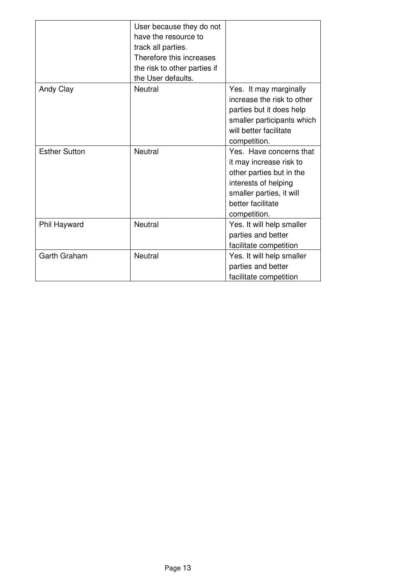|                      | User because they do not<br>have the resource to<br>track all parties.<br>Therefore this increases<br>the risk to other parties if<br>the User defaults. |                                                                                                                                                                         |
|----------------------|----------------------------------------------------------------------------------------------------------------------------------------------------------|-------------------------------------------------------------------------------------------------------------------------------------------------------------------------|
| Andy Clay            | <b>Neutral</b>                                                                                                                                           | Yes. It may marginally<br>increase the risk to other<br>parties but it does help<br>smaller participants which<br>will better facilitate<br>competition.                |
| <b>Esther Sutton</b> | <b>Neutral</b>                                                                                                                                           | Yes. Have concerns that<br>it may increase risk to<br>other parties but in the<br>interests of helping<br>smaller parties, it will<br>better facilitate<br>competition. |
| Phil Hayward         | <b>Neutral</b>                                                                                                                                           | Yes. It will help smaller<br>parties and better<br>facilitate competition                                                                                               |
| <b>Garth Graham</b>  | <b>Neutral</b>                                                                                                                                           | Yes. It will help smaller<br>parties and better<br>facilitate competition                                                                                               |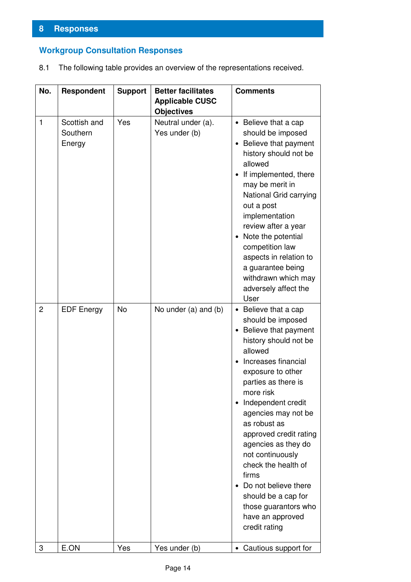## **Workgroup Consultation Responses**

8.1 The following table provides an overview of the representations received.

| No.            | <b>Respondent</b>                  | <b>Support</b> | <b>Better facilitates</b>                   | <b>Comments</b>                                                                                                                                                                                                                                                                                                                                                                                                                                                                               |
|----------------|------------------------------------|----------------|---------------------------------------------|-----------------------------------------------------------------------------------------------------------------------------------------------------------------------------------------------------------------------------------------------------------------------------------------------------------------------------------------------------------------------------------------------------------------------------------------------------------------------------------------------|
|                |                                    |                | <b>Applicable CUSC</b><br><b>Objectives</b> |                                                                                                                                                                                                                                                                                                                                                                                                                                                                                               |
| $\mathbf{1}$   | Scottish and<br>Southern<br>Energy | Yes            | Neutral under (a).<br>Yes under (b)         | • Believe that a cap<br>should be imposed<br>Believe that payment<br>$\bullet$<br>history should not be<br>allowed<br>If implemented, there<br>$\bullet$<br>may be merit in<br>National Grid carrying<br>out a post<br>implementation<br>review after a year<br>Note the potential<br>$\bullet$<br>competition law<br>aspects in relation to<br>a guarantee being<br>withdrawn which may<br>adversely affect the<br>User                                                                      |
| $\overline{2}$ | <b>EDF Energy</b>                  | <b>No</b>      | No under (a) and (b)                        | • Believe that a cap<br>should be imposed<br>Believe that payment<br>$\bullet$<br>history should not be<br>allowed<br>Increases financial<br>exposure to other<br>parties as there is<br>more risk<br>Independent credit<br>$\bullet$<br>agencies may not be<br>as robust as<br>approved credit rating<br>agencies as they do<br>not continuously<br>check the health of<br>firms<br>Do not believe there<br>should be a cap for<br>those guarantors who<br>have an approved<br>credit rating |
| 3              | E.ON                               | Yes            | Yes under (b)                               | Cautious support for                                                                                                                                                                                                                                                                                                                                                                                                                                                                          |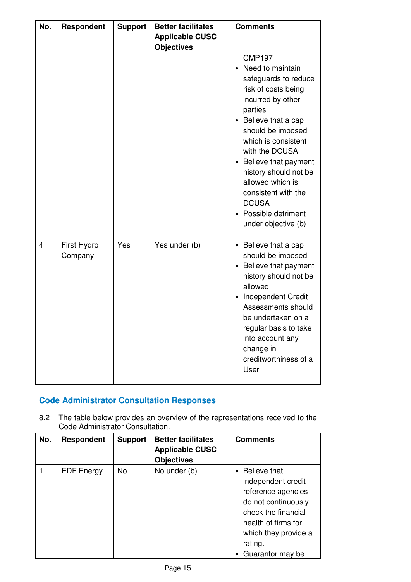| No. | <b>Respondent</b>      | <b>Support</b> | <b>Better facilitates</b><br><b>Applicable CUSC</b><br><b>Objectives</b> | <b>Comments</b>                                                                                                                                                                                                                                                                                                                                                                                      |
|-----|------------------------|----------------|--------------------------------------------------------------------------|------------------------------------------------------------------------------------------------------------------------------------------------------------------------------------------------------------------------------------------------------------------------------------------------------------------------------------------------------------------------------------------------------|
|     |                        |                |                                                                          | <b>CMP197</b><br>Need to maintain<br>safeguards to reduce<br>risk of costs being<br>incurred by other<br>parties<br>Believe that a cap<br>$\bullet$<br>should be imposed<br>which is consistent<br>with the DCUSA<br>Believe that payment<br>$\bullet$<br>history should not be<br>allowed which is<br>consistent with the<br><b>DCUSA</b><br>Possible detriment<br>$\bullet$<br>under objective (b) |
| 4   | First Hydro<br>Company | Yes            | Yes under (b)                                                            | • Believe that a cap<br>should be imposed<br>Believe that payment<br>$\bullet$<br>history should not be<br>allowed<br>Independent Credit<br>$\bullet$<br>Assessments should<br>be undertaken on a<br>regular basis to take<br>into account any<br>change in<br>creditworthiness of a<br>User                                                                                                         |

## **Code Administrator Consultation Responses**

8.2 The table below provides an overview of the representations received to the Code Administrator Consultation.

| No. | <b>Respondent</b> | <b>Support</b> | <b>Better facilitates</b><br><b>Applicable CUSC</b><br><b>Objectives</b> | <b>Comments</b>                                                                                                                                                                        |
|-----|-------------------|----------------|--------------------------------------------------------------------------|----------------------------------------------------------------------------------------------------------------------------------------------------------------------------------------|
|     | <b>EDF</b> Energy | No             | No under (b)                                                             | • Believe that<br>independent credit<br>reference agencies<br>do not continuously<br>check the financial<br>health of firms for<br>which they provide a<br>rating.<br>Guarantor may be |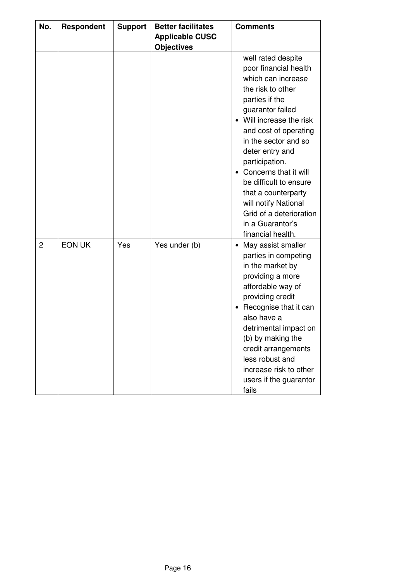| No.            | <b>Respondent</b> | <b>Support</b> | <b>Better facilitates</b><br><b>Applicable CUSC</b><br><b>Objectives</b> | <b>Comments</b>                                                                                                                                                                                                                                                                                                                                                                                                    |
|----------------|-------------------|----------------|--------------------------------------------------------------------------|--------------------------------------------------------------------------------------------------------------------------------------------------------------------------------------------------------------------------------------------------------------------------------------------------------------------------------------------------------------------------------------------------------------------|
|                |                   |                |                                                                          | well rated despite<br>poor financial health<br>which can increase<br>the risk to other<br>parties if the<br>guarantor failed<br>Will increase the risk<br>and cost of operating<br>in the sector and so<br>deter entry and<br>participation.<br>Concerns that it will<br>be difficult to ensure<br>that a counterparty<br>will notify National<br>Grid of a deterioration<br>in a Guarantor's<br>financial health. |
| $\overline{2}$ | <b>EON UK</b>     | Yes            | Yes under (b)                                                            | May assist smaller<br>parties in competing<br>in the market by<br>providing a more<br>affordable way of<br>providing credit<br>Recognise that it can<br>also have a<br>detrimental impact on<br>(b) by making the<br>credit arrangements<br>less robust and<br>increase risk to other<br>users if the guarantor<br>fails                                                                                           |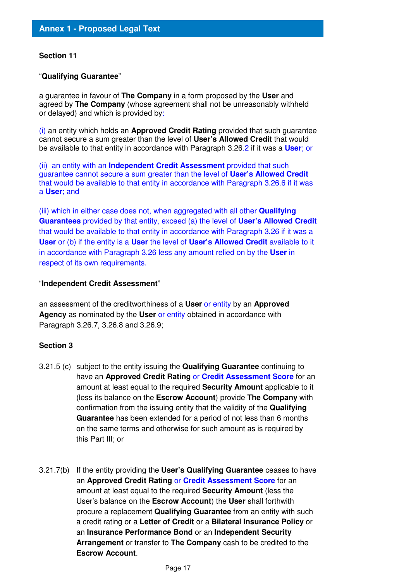#### **Section 11**

#### "**Qualifying Guarantee**"

a guarantee in favour of **The Company** in a form proposed by the **User** and agreed by **The Company** (whose agreement shall not be unreasonably withheld or delayed) and which is provided by:

(i) an entity which holds an **Approved Credit Rating** provided that such guarantee cannot secure a sum greater than the level of **User's Allowed Credit** that would be available to that entity in accordance with Paragraph 3.26.2 if it was a **User**; or

(ii) an entity with an **Independent Credit Assessment** provided that such guarantee cannot secure a sum greater than the level of **User's Allowed Credit**  that would be available to that entity in accordance with Paragraph 3.26.6 if it was a **User**; and

(iii) which in either case does not, when aggregated with all other **Qualifying Guarantees** provided by that entity, exceed (a) the level of **User's Allowed Credit** that would be available to that entity in accordance with Paragraph 3.26 if it was a **User** or (b) if the entity is a **User** the level of **User's Allowed Credit** available to it in accordance with Paragraph 3.26 less any amount relied on by the **User** in respect of its own requirements.

#### "**Independent Credit Assessment**"

an assessment of the creditworthiness of a **User** or entity by an **Approved Agency** as nominated by the **User** or entity obtained in accordance with Paragraph 3.26.7, 3.26.8 and 3.26.9;

## **Section 3**

- 3.21.5 (c) subject to the entity issuing the **Qualifying Guarantee** continuing to have an **Approved Credit Rating** or **Credit Assessment Score** for an amount at least equal to the required **Security Amount** applicable to it (less its balance on the **Escrow Account**) provide **The Company** with confirmation from the issuing entity that the validity of the **Qualifying Guarantee** has been extended for a period of not less than 6 months on the same terms and otherwise for such amount as is required by this Part III; or
- 3.21.7(b) If the entity providing the **User's Qualifying Guarantee** ceases to have an **Approved Credit Rating** or **Credit Assessment Score** for an amount at least equal to the required **Security Amount** (less the User's balance on the **Escrow Account**) the **User** shall forthwith procure a replacement **Qualifying Guarantee** from an entity with such a credit rating or a **Letter of Credit** or a **Bilateral Insurance Policy** or an **Insurance Performance Bond** or an **Independent Security Arrangement** or transfer to **The Company** cash to be credited to the **Escrow Account**.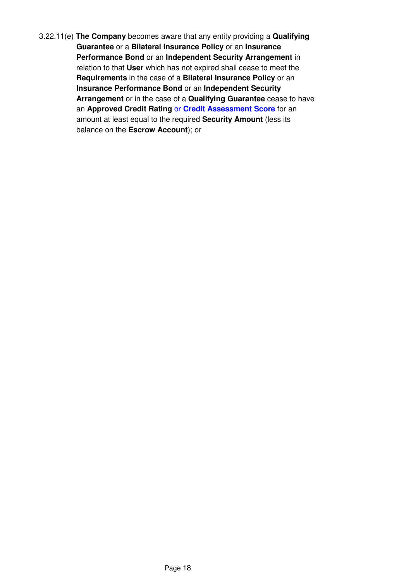3.22.11(e) **The Company** becomes aware that any entity providing a **Qualifying Guarantee** or a **Bilateral Insurance Policy** or an **Insurance Performance Bond** or an **Independent Security Arrangement** in relation to that **User** which has not expired shall cease to meet the **Requirements** in the case of a **Bilateral Insurance Policy** or an **Insurance Performance Bond** or an **Independent Security Arrangement** or in the case of a **Qualifying Guarantee** cease to have an **Approved Credit Rating** or **Credit Assessment Score** for an amount at least equal to the required **Security Amount** (less its balance on the **Escrow Account**); or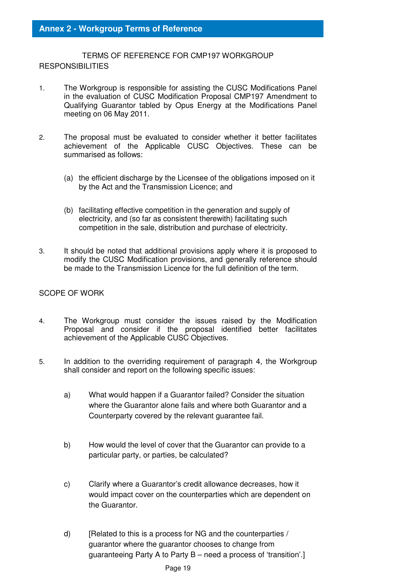TERMS OF REFERENCE FOR CMP197 WORKGROUP **RESPONSIBILITIES** 

- 1. The Workgroup is responsible for assisting the CUSC Modifications Panel in the evaluation of CUSC Modification Proposal CMP197 Amendment to Qualifying Guarantor tabled by Opus Energy at the Modifications Panel meeting on 06 May 2011.
- 2. The proposal must be evaluated to consider whether it better facilitates achievement of the Applicable CUSC Objectives. These can be summarised as follows:
	- (a) the efficient discharge by the Licensee of the obligations imposed on it by the Act and the Transmission Licence; and
	- (b) facilitating effective competition in the generation and supply of electricity, and (so far as consistent therewith) facilitating such competition in the sale, distribution and purchase of electricity.
- 3. It should be noted that additional provisions apply where it is proposed to modify the CUSC Modification provisions, and generally reference should be made to the Transmission Licence for the full definition of the term.

## SCOPE OF WORK

- 4. The Workgroup must consider the issues raised by the Modification Proposal and consider if the proposal identified better facilitates achievement of the Applicable CUSC Objectives.
- 5. In addition to the overriding requirement of paragraph 4, the Workgroup shall consider and report on the following specific issues:
	- a) What would happen if a Guarantor failed? Consider the situation where the Guarantor alone fails and where both Guarantor and a Counterparty covered by the relevant guarantee fail.
	- b) How would the level of cover that the Guarantor can provide to a particular party, or parties, be calculated?
	- c) Clarify where a Guarantor's credit allowance decreases, how it would impact cover on the counterparties which are dependent on the Guarantor.
	- d) [Related to this is a process for NG and the counterparties / guarantor where the guarantor chooses to change from guaranteeing Party A to Party B – need a process of 'transition'.]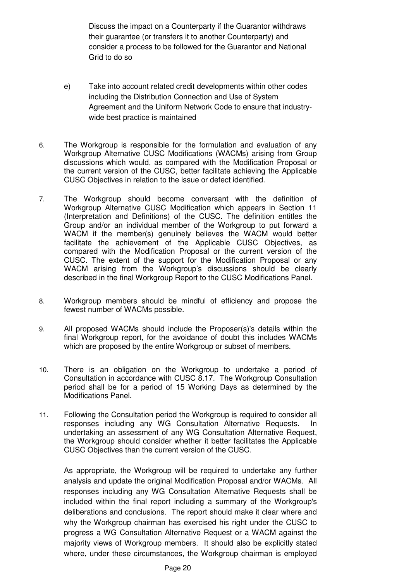Discuss the impact on a Counterparty if the Guarantor withdraws their guarantee (or transfers it to another Counterparty) and consider a process to be followed for the Guarantor and National Grid to do so

- e) Take into account related credit developments within other codes including the Distribution Connection and Use of System Agreement and the Uniform Network Code to ensure that industrywide best practice is maintained
- 6. The Workgroup is responsible for the formulation and evaluation of any Workgroup Alternative CUSC Modifications (WACMs) arising from Group discussions which would, as compared with the Modification Proposal or the current version of the CUSC, better facilitate achieving the Applicable CUSC Objectives in relation to the issue or defect identified.
- 7. The Workgroup should become conversant with the definition of Workgroup Alternative CUSC Modification which appears in Section 11 (Interpretation and Definitions) of the CUSC. The definition entitles the Group and/or an individual member of the Workgroup to put forward a WACM if the member(s) genuinely believes the WACM would better facilitate the achievement of the Applicable CUSC Objectives, as compared with the Modification Proposal or the current version of the CUSC. The extent of the support for the Modification Proposal or any WACM arising from the Workgroup's discussions should be clearly described in the final Workgroup Report to the CUSC Modifications Panel.
- 8. Workgroup members should be mindful of efficiency and propose the fewest number of WACMs possible.
- 9. All proposed WACMs should include the Proposer(s)'s details within the final Workgroup report, for the avoidance of doubt this includes WACMs which are proposed by the entire Workgroup or subset of members.
- 10. There is an obligation on the Workgroup to undertake a period of Consultation in accordance with CUSC 8.17. The Workgroup Consultation period shall be for a period of 15 Working Days as determined by the Modifications Panel.
- 11. Following the Consultation period the Workgroup is required to consider all responses including any WG Consultation Alternative Requests. In undertaking an assessment of any WG Consultation Alternative Request, the Workgroup should consider whether it better facilitates the Applicable CUSC Objectives than the current version of the CUSC.

As appropriate, the Workgroup will be required to undertake any further analysis and update the original Modification Proposal and/or WACMs. All responses including any WG Consultation Alternative Requests shall be included within the final report including a summary of the Workgroup's deliberations and conclusions. The report should make it clear where and why the Workgroup chairman has exercised his right under the CUSC to progress a WG Consultation Alternative Request or a WACM against the majority views of Workgroup members. It should also be explicitly stated where, under these circumstances, the Workgroup chairman is employed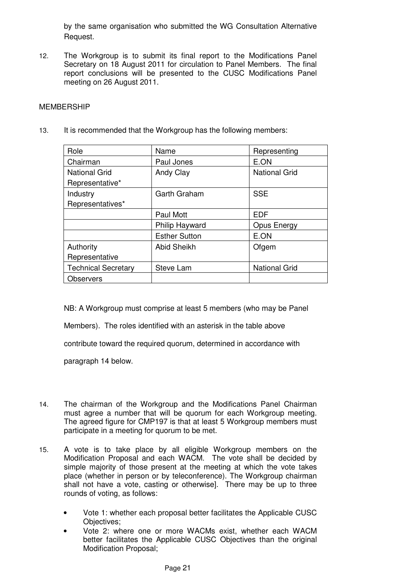by the same organisation who submitted the WG Consultation Alternative Request.

12. The Workgroup is to submit its final report to the Modifications Panel Secretary on 18 August 2011 for circulation to Panel Members. The final report conclusions will be presented to the CUSC Modifications Panel meeting on 26 August 2011.

#### MEMBERSHIP

13. It is recommended that the Workgroup has the following members:

| Role                       | Name                 | Representing         |
|----------------------------|----------------------|----------------------|
| Chairman                   | Paul Jones           | E.ON                 |
| <b>National Grid</b>       | Andy Clay            | <b>National Grid</b> |
| Representative*            |                      |                      |
| Industry                   | Garth Graham         | <b>SSE</b>           |
| Representatives*           |                      |                      |
|                            | Paul Mott            | <b>EDF</b>           |
|                            | Philip Hayward       | Opus Energy          |
|                            | <b>Esther Sutton</b> | E.ON                 |
| Authority                  | <b>Abid Sheikh</b>   | Ofgem                |
| Representative             |                      |                      |
| <b>Technical Secretary</b> | Steve Lam            | <b>National Grid</b> |
| <b>Observers</b>           |                      |                      |

NB: A Workgroup must comprise at least 5 members (who may be Panel

Members). The roles identified with an asterisk in the table above

contribute toward the required quorum, determined in accordance with

paragraph 14 below.

- 14. The chairman of the Workgroup and the Modifications Panel Chairman must agree a number that will be quorum for each Workgroup meeting. The agreed figure for CMP197 is that at least 5 Workgroup members must participate in a meeting for quorum to be met.
- 15. A vote is to take place by all eligible Workgroup members on the Modification Proposal and each WACM. The vote shall be decided by simple majority of those present at the meeting at which the vote takes place (whether in person or by teleconference). The Workgroup chairman shall not have a vote, casting or otherwise]. There may be up to three rounds of voting, as follows:
	- Vote 1: whether each proposal better facilitates the Applicable CUSC Objectives;
	- Vote 2: where one or more WACMs exist, whether each WACM better facilitates the Applicable CUSC Objectives than the original Modification Proposal;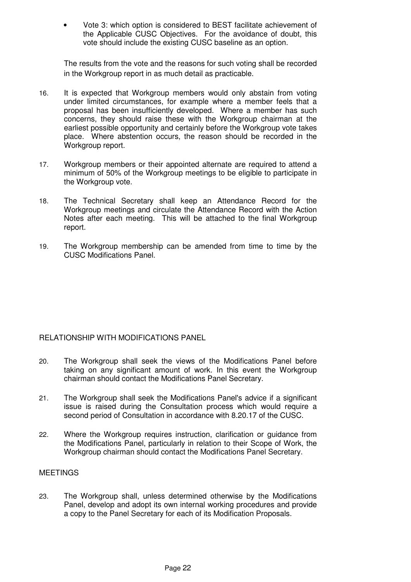• Vote 3: which option is considered to BEST facilitate achievement of the Applicable CUSC Objectives. For the avoidance of doubt, this vote should include the existing CUSC baseline as an option.

The results from the vote and the reasons for such voting shall be recorded in the Workgroup report in as much detail as practicable.

- 16. It is expected that Workgroup members would only abstain from voting under limited circumstances, for example where a member feels that a proposal has been insufficiently developed. Where a member has such concerns, they should raise these with the Workgroup chairman at the earliest possible opportunity and certainly before the Workgroup vote takes place. Where abstention occurs, the reason should be recorded in the Workgroup report.
- 17. Workgroup members or their appointed alternate are required to attend a minimum of 50% of the Workgroup meetings to be eligible to participate in the Workgroup vote.
- 18. The Technical Secretary shall keep an Attendance Record for the Workgroup meetings and circulate the Attendance Record with the Action Notes after each meeting. This will be attached to the final Workgroup report.
- 19. The Workgroup membership can be amended from time to time by the CUSC Modifications Panel.

## RELATIONSHIP WITH MODIFICATIONS PANEL

- 20. The Workgroup shall seek the views of the Modifications Panel before taking on any significant amount of work. In this event the Workgroup chairman should contact the Modifications Panel Secretary.
- 21. The Workgroup shall seek the Modifications Panel's advice if a significant issue is raised during the Consultation process which would require a second period of Consultation in accordance with 8.20.17 of the CUSC.
- 22. Where the Workgroup requires instruction, clarification or guidance from the Modifications Panel, particularly in relation to their Scope of Work, the Workgroup chairman should contact the Modifications Panel Secretary.

## MEETINGS

23. The Workgroup shall, unless determined otherwise by the Modifications Panel, develop and adopt its own internal working procedures and provide a copy to the Panel Secretary for each of its Modification Proposals.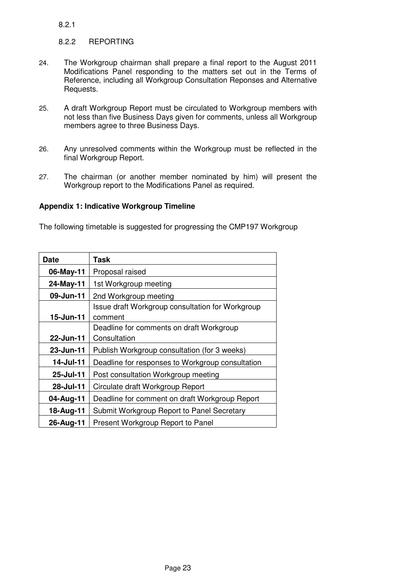8.2.1

## 8.2.2 REPORTING

- 24. The Workgroup chairman shall prepare a final report to the August 2011 Modifications Panel responding to the matters set out in the Terms of Reference, including all Workgroup Consultation Reponses and Alternative Requests.
- 25. A draft Workgroup Report must be circulated to Workgroup members with not less than five Business Days given for comments, unless all Workgroup members agree to three Business Days.
- 26. Any unresolved comments within the Workgroup must be reflected in the final Workgroup Report.
- 27. The chairman (or another member nominated by him) will present the Workgroup report to the Modifications Panel as required.

## **Appendix 1: Indicative Workgroup Timeline**

The following timetable is suggested for progressing the CMP197 Workgroup

| Date      | Task                                             |
|-----------|--------------------------------------------------|
| 06-May-11 | Proposal raised                                  |
| 24-May-11 | 1st Workgroup meeting                            |
| 09-Jun-11 | 2nd Workgroup meeting                            |
|           | Issue draft Workgroup consultation for Workgroup |
| 15-Jun-11 | comment                                          |
|           | Deadline for comments on draft Workgroup         |
| 22-Jun-11 | Consultation                                     |
| 23-Jun-11 | Publish Workgroup consultation (for 3 weeks)     |
| 14-Jul-11 | Deadline for responses to Workgroup consultation |
| 25-Jul-11 | Post consultation Workgroup meeting              |
| 28-Jul-11 | Circulate draft Workgroup Report                 |
| 04-Aug-11 | Deadline for comment on draft Workgroup Report   |
| 18-Aug-11 | Submit Workgroup Report to Panel Secretary       |
| 26-Aug-11 | Present Workgroup Report to Panel                |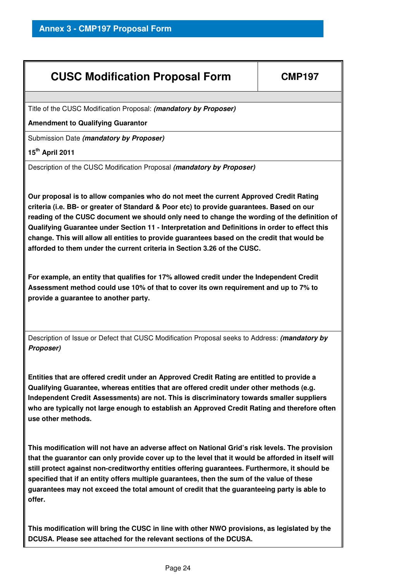## **CUSC Modification Proposal Form | CMP197**

Title of the CUSC Modification Proposal: **(mandatory by Proposer)**

**Amendment to Qualifying Guarantor** 

Submission Date **(mandatory by Proposer)**

## **15th April 2011**

Description of the CUSC Modification Proposal **(mandatory by Proposer)**

**Our proposal is to allow companies who do not meet the current Approved Credit Rating criteria (i.e. BB- or greater of Standard & Poor etc) to provide guarantees. Based on our reading of the CUSC document we should only need to change the wording of the definition of Qualifying Guarantee under Section 11 - Interpretation and Definitions in order to effect this change. This will allow all entities to provide guarantees based on the credit that would be afforded to them under the current criteria in Section 3.26 of the CUSC.** 

**For example, an entity that qualifies for 17% allowed credit under the Independent Credit Assessment method could use 10% of that to cover its own requirement and up to 7% to provide a guarantee to another party.** 

Description of Issue or Defect that CUSC Modification Proposal seeks to Address: **(mandatory by Proposer)**

**Entities that are offered credit under an Approved Credit Rating are entitled to provide a Qualifying Guarantee, whereas entities that are offered credit under other methods (e.g. Independent Credit Assessments) are not. This is discriminatory towards smaller suppliers who are typically not large enough to establish an Approved Credit Rating and therefore often use other methods.** 

**This modification will not have an adverse affect on National Grid's risk levels. The provision that the guarantor can only provide cover up to the level that it would be afforded in itself will still protect against non-creditworthy entities offering guarantees. Furthermore, it should be specified that if an entity offers multiple guarantees, then the sum of the value of these guarantees may not exceed the total amount of credit that the guaranteeing party is able to offer.** 

**This modification will bring the CUSC in line with other NWO provisions, as legislated by the DCUSA. Please see attached for the relevant sections of the DCUSA.**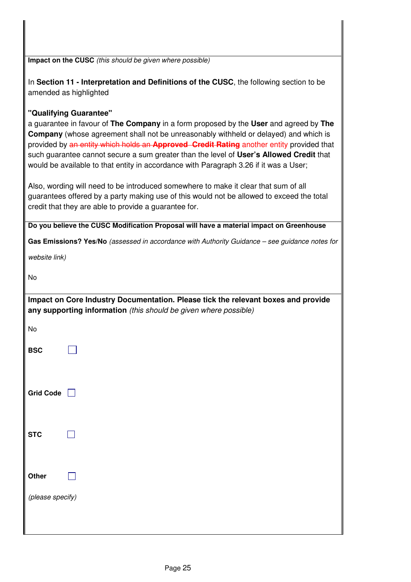| Impact on the CUSC (this should be given where possible)                                                                                                                                                                                                                                                                                                                                                                                                                                                                                                                                                                                                                                                                                    |
|---------------------------------------------------------------------------------------------------------------------------------------------------------------------------------------------------------------------------------------------------------------------------------------------------------------------------------------------------------------------------------------------------------------------------------------------------------------------------------------------------------------------------------------------------------------------------------------------------------------------------------------------------------------------------------------------------------------------------------------------|
| In Section 11 - Interpretation and Definitions of the CUSC, the following section to be<br>amended as highlighted                                                                                                                                                                                                                                                                                                                                                                                                                                                                                                                                                                                                                           |
| "Qualifying Guarantee"<br>a guarantee in favour of The Company in a form proposed by the User and agreed by The<br><b>Company</b> (whose agreement shall not be unreasonably withheld or delayed) and which is<br>provided by an entity which holds an Approved Credit Rating another entity provided that<br>such guarantee cannot secure a sum greater than the level of User's Allowed Credit that<br>would be available to that entity in accordance with Paragraph 3.26 if it was a User;<br>Also, wording will need to be introduced somewhere to make it clear that sum of all<br>guarantees offered by a party making use of this would not be allowed to exceed the total<br>credit that they are able to provide a guarantee for. |
| Do you believe the CUSC Modification Proposal will have a material impact on Greenhouse                                                                                                                                                                                                                                                                                                                                                                                                                                                                                                                                                                                                                                                     |
| Gas Emissions? Yes/No (assessed in accordance with Authority Guidance - see guidance notes for                                                                                                                                                                                                                                                                                                                                                                                                                                                                                                                                                                                                                                              |
| website link)                                                                                                                                                                                                                                                                                                                                                                                                                                                                                                                                                                                                                                                                                                                               |
| No                                                                                                                                                                                                                                                                                                                                                                                                                                                                                                                                                                                                                                                                                                                                          |
| Impact on Core Industry Documentation. Please tick the relevant boxes and provide<br>any supporting information (this should be given where possible)                                                                                                                                                                                                                                                                                                                                                                                                                                                                                                                                                                                       |
| No                                                                                                                                                                                                                                                                                                                                                                                                                                                                                                                                                                                                                                                                                                                                          |
| <b>BSC</b>                                                                                                                                                                                                                                                                                                                                                                                                                                                                                                                                                                                                                                                                                                                                  |
| <b>Grid Code</b>                                                                                                                                                                                                                                                                                                                                                                                                                                                                                                                                                                                                                                                                                                                            |
| <b>STC</b>                                                                                                                                                                                                                                                                                                                                                                                                                                                                                                                                                                                                                                                                                                                                  |
| Other                                                                                                                                                                                                                                                                                                                                                                                                                                                                                                                                                                                                                                                                                                                                       |
| (please specify)                                                                                                                                                                                                                                                                                                                                                                                                                                                                                                                                                                                                                                                                                                                            |
|                                                                                                                                                                                                                                                                                                                                                                                                                                                                                                                                                                                                                                                                                                                                             |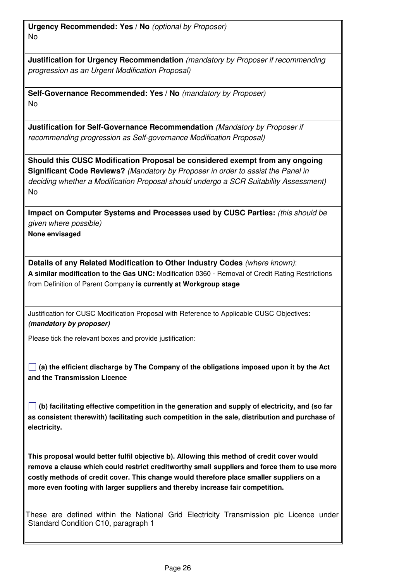**Urgency Recommended: Yes / No** (optional by Proposer) No

**Justification for Urgency Recommendation** (mandatory by Proposer if recommending progression as an Urgent Modification Proposal)

**Self-Governance Recommended: Yes / No** (mandatory by Proposer) No

**Justification for Self-Governance Recommendation** (Mandatory by Proposer if recommending progression as Self-governance Modification Proposal)

**Should this CUSC Modification Proposal be considered exempt from any ongoing Significant Code Reviews?** (Mandatory by Proposer in order to assist the Panel in deciding whether a Modification Proposal should undergo a SCR Suitability Assessment) No

**Impact on Computer Systems and Processes used by CUSC Parties:** (this should be given where possible)

**None envisaged** 

**Details of any Related Modification to Other Industry Codes** (where known): **A similar modification to the Gas UNC:** Modification 0360 - Removal of Credit Rating Restrictions from Definition of Parent Company **is currently at Workgroup stage** 

Justification for CUSC Modification Proposal with Reference to Applicable CUSC Objectives: **(mandatory by proposer)**

Please tick the relevant boxes and provide justification:

**(a) the efficient discharge by The Company of the obligations imposed upon it by the Act and the Transmission Licence** 

**(b) facilitating effective competition in the generation and supply of electricity, and (so far as consistent therewith) facilitating such competition in the sale, distribution and purchase of electricity.** 

**This proposal would better fulfil objective b). Allowing this method of credit cover would remove a clause which could restrict creditworthy small suppliers and force them to use more costly methods of credit cover. This change would therefore place smaller suppliers on a more even footing with larger suppliers and thereby increase fair competition.** 

These are defined within the National Grid Electricity Transmission plc Licence under Standard Condition C10, paragraph 1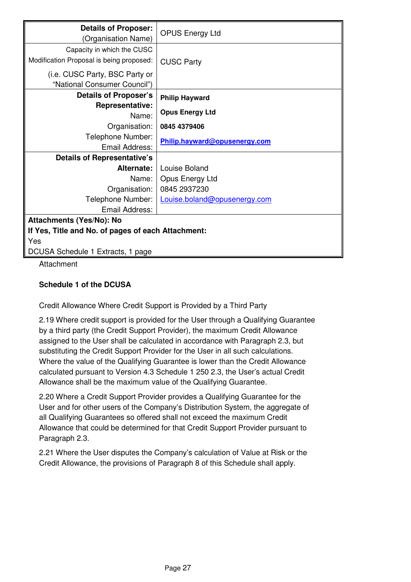| <b>Details of Proposer:</b><br>(Organisation Name) | <b>OPUS Energy Ltd</b>        |  |  |
|----------------------------------------------------|-------------------------------|--|--|
| Capacity in which the CUSC                         |                               |  |  |
| Modification Proposal is being proposed:           | <b>CUSC Party</b>             |  |  |
|                                                    |                               |  |  |
| (i.e. CUSC Party, BSC Party or                     |                               |  |  |
| "National Consumer Council")                       |                               |  |  |
| Details of Proposer's                              | <b>Philip Hayward</b>         |  |  |
| <b>Representative:</b>                             |                               |  |  |
| Name:                                              | <b>Opus Energy Ltd</b>        |  |  |
| Organisation:                                      | 0845 4379406                  |  |  |
| Telephone Number:                                  | Philip.hayward@opusenergy.com |  |  |
| Email Address:                                     |                               |  |  |
| <b>Details of Representative's</b>                 |                               |  |  |
| Alternate:                                         | Louise Boland                 |  |  |
| Name:                                              | Opus Energy Ltd               |  |  |
| Organisation:                                      | 0845 2937230                  |  |  |
| Telephone Number:                                  | Louise.boland@opusenergy.com  |  |  |
| Email Address:                                     |                               |  |  |
| Attachments (Yes/No): No                           |                               |  |  |
| If Yes, Title and No. of pages of each Attachment: |                               |  |  |
| Yes                                                |                               |  |  |
| DCUSA Schedule 1 Extracts, 1 page                  |                               |  |  |

Attachment

## **Schedule 1 of the DCUSA**

Credit Allowance Where Credit Support is Provided by a Third Party

2.19 Where credit support is provided for the User through a Qualifying Guarantee by a third party (the Credit Support Provider), the maximum Credit Allowance assigned to the User shall be calculated in accordance with Paragraph 2.3, but substituting the Credit Support Provider for the User in all such calculations. Where the value of the Qualifying Guarantee is lower than the Credit Allowance calculated pursuant to Version 4.3 Schedule 1 250 2.3, the User's actual Credit Allowance shall be the maximum value of the Qualifying Guarantee.

2.20 Where a Credit Support Provider provides a Qualifying Guarantee for the User and for other users of the Company's Distribution System, the aggregate of all Qualifying Guarantees so offered shall not exceed the maximum Credit Allowance that could be determined for that Credit Support Provider pursuant to Paragraph 2.3.

2.21 Where the User disputes the Company's calculation of Value at Risk or the Credit Allowance, the provisions of Paragraph 8 of this Schedule shall apply.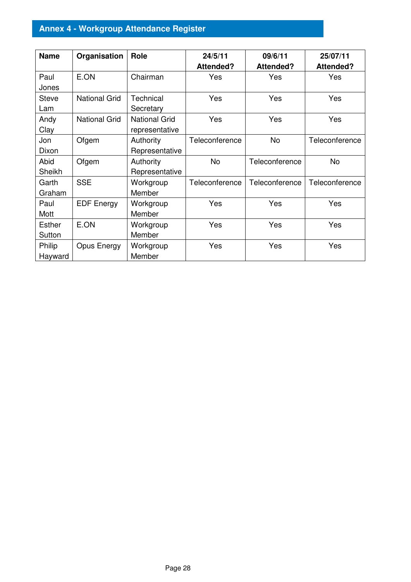## **Annex 4 - Workgroup Attendance Register**

| <b>Name</b>             | Organisation         | Role                                   | 24/5/11<br><b>Attended?</b> | 09/6/11<br>Attended? | 25/07/11<br><b>Attended?</b> |
|-------------------------|----------------------|----------------------------------------|-----------------------------|----------------------|------------------------------|
| Paul<br>Jones           | E.ON                 | Chairman                               | Yes                         | Yes                  | Yes                          |
| <b>Steve</b><br>Lam     | <b>National Grid</b> | Technical<br>Secretary                 | Yes                         | Yes                  | Yes                          |
| Andy<br>Clay            | <b>National Grid</b> | <b>National Grid</b><br>representative | Yes                         | Yes                  | Yes                          |
| Jon<br>Dixon            | Ofgem                | Authority<br>Representative            | Teleconference              | No                   | Teleconference               |
| Abid<br>Sheikh          | Ofgem                | Authority<br>Representative            | <b>No</b>                   | Teleconference       | No                           |
| Garth<br>Graham         | <b>SSE</b>           | Workgroup<br>Member                    | Teleconference              | Teleconference       | Teleconference               |
| Paul<br>Mott            | <b>EDF Energy</b>    | Workgroup<br>Member                    | Yes                         | Yes                  | Yes                          |
| <b>Esther</b><br>Sutton | E.ON                 | Workgroup<br>Member                    | Yes                         | Yes                  | Yes                          |
| Philip<br>Hayward       | Opus Energy          | Workgroup<br>Member                    | Yes                         | Yes                  | Yes                          |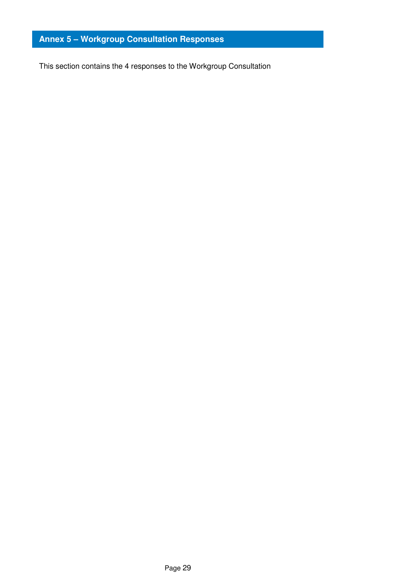## **Annex 5 – Workgroup Consultation Responses**

This section contains the 4 responses to the Workgroup Consultation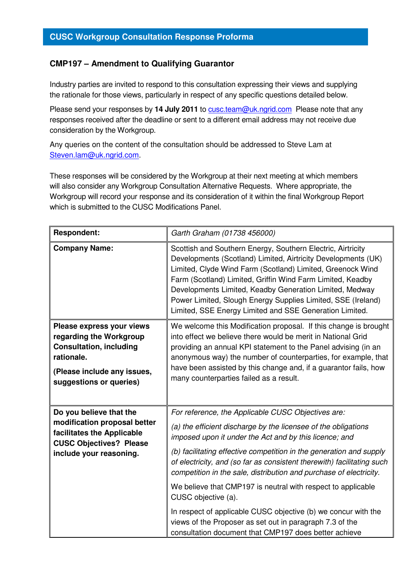## **CMP197 – Amendment to Qualifying Guarantor**

Industry parties are invited to respond to this consultation expressing their views and supplying the rationale for those views, particularly in respect of any specific questions detailed below.

Please send your responses by 14 July 2011 to **cusc.team@uk.ngrid.com** Please note that any responses received after the deadline or sent to a different email address may not receive due consideration by the Workgroup.

Any queries on the content of the consultation should be addressed to Steve Lam at Steven.lam@uk.ngrid.com.

These responses will be considered by the Workgroup at their next meeting at which members will also consider any Workgroup Consultation Alternative Requests. Where appropriate, the Workgroup will record your response and its consideration of it within the final Workgroup Report which is submitted to the CUSC Modifications Panel.

| Garth Graham (01738 456000)                                                                                                                                                                                                                                                                                                                                                                                                                                                                                                                                                                                                |
|----------------------------------------------------------------------------------------------------------------------------------------------------------------------------------------------------------------------------------------------------------------------------------------------------------------------------------------------------------------------------------------------------------------------------------------------------------------------------------------------------------------------------------------------------------------------------------------------------------------------------|
| Scottish and Southern Energy, Southern Electric, Airtricity<br>Developments (Scotland) Limited, Airtricity Developments (UK)<br>Limited, Clyde Wind Farm (Scotland) Limited, Greenock Wind<br>Farm (Scotland) Limited, Griffin Wind Farm Limited, Keadby<br>Developments Limited, Keadby Generation Limited, Medway<br>Power Limited, Slough Energy Supplies Limited, SSE (Ireland)<br>Limited, SSE Energy Limited and SSE Generation Limited.                                                                                                                                                                             |
| We welcome this Modification proposal. If this change is brought<br>into effect we believe there would be merit in National Grid<br>providing an annual KPI statement to the Panel advising (in an<br>anonymous way) the number of counterparties, for example, that<br>have been assisted by this change and, if a guarantor fails, how<br>many counterparties failed as a result.                                                                                                                                                                                                                                        |
| For reference, the Applicable CUSC Objectives are:<br>(a) the efficient discharge by the licensee of the obligations<br>imposed upon it under the Act and by this licence; and<br>(b) facilitating effective competition in the generation and supply<br>of electricity, and (so far as consistent therewith) facilitating such<br>competition in the sale, distribution and purchase of electricity.<br>We believe that CMP197 is neutral with respect to applicable<br>CUSC objective (a).<br>In respect of applicable CUSC objective (b) we concur with the<br>views of the Proposer as set out in paragraph 7.3 of the |
|                                                                                                                                                                                                                                                                                                                                                                                                                                                                                                                                                                                                                            |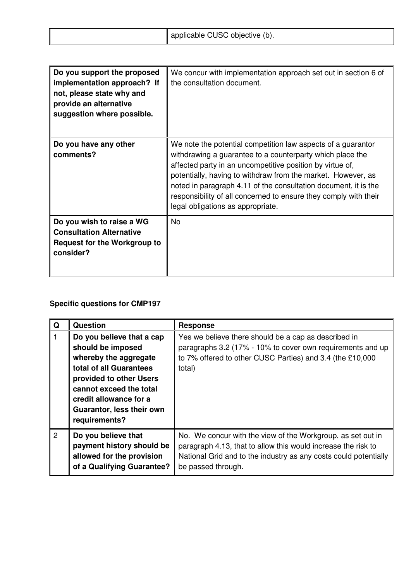|  |  | applicable CUSC objective (b). |
|--|--|--------------------------------|
|--|--|--------------------------------|

| Do you support the proposed<br>implementation approach? If<br>not, please state why and<br>provide an alternative<br>suggestion where possible. | We concur with implementation approach set out in section 6 of<br>the consultation document.                                                                                                                                                                                                                                                                                                                                       |
|-------------------------------------------------------------------------------------------------------------------------------------------------|------------------------------------------------------------------------------------------------------------------------------------------------------------------------------------------------------------------------------------------------------------------------------------------------------------------------------------------------------------------------------------------------------------------------------------|
| Do you have any other<br>comments?                                                                                                              | We note the potential competition law aspects of a guarantor<br>withdrawing a guarantee to a counterparty which place the<br>affected party in an uncompetitive position by virtue of,<br>potentially, having to withdraw from the market. However, as<br>noted in paragraph 4.11 of the consultation document, it is the<br>responsibility of all concerned to ensure they comply with their<br>legal obligations as appropriate. |
| Do you wish to raise a WG<br><b>Consultation Alternative</b><br><b>Request for the Workgroup to</b><br>consider?                                | <b>No</b>                                                                                                                                                                                                                                                                                                                                                                                                                          |

## **Specific questions for CMP197**

| Q | <b>Question</b>                                                                                                                                                                                                                  | <b>Response</b>                                                                                                                                                                                                        |
|---|----------------------------------------------------------------------------------------------------------------------------------------------------------------------------------------------------------------------------------|------------------------------------------------------------------------------------------------------------------------------------------------------------------------------------------------------------------------|
| 1 | Do you believe that a cap<br>should be imposed<br>whereby the aggregate<br>total of all Guarantees<br>provided to other Users<br>cannot exceed the total<br>credit allowance for a<br>Guarantor, less their own<br>requirements? | Yes we believe there should be a cap as described in<br>paragraphs 3.2 (17% - 10% to cover own requirements and up<br>to 7% offered to other CUSC Parties) and 3.4 (the £10,000<br>total)                              |
| 2 | Do you believe that<br>payment history should be<br>allowed for the provision<br>of a Qualifying Guarantee?                                                                                                                      | No. We concur with the view of the Workgroup, as set out in<br>paragraph 4.13, that to allow this would increase the risk to<br>National Grid and to the industry as any costs could potentially<br>be passed through. |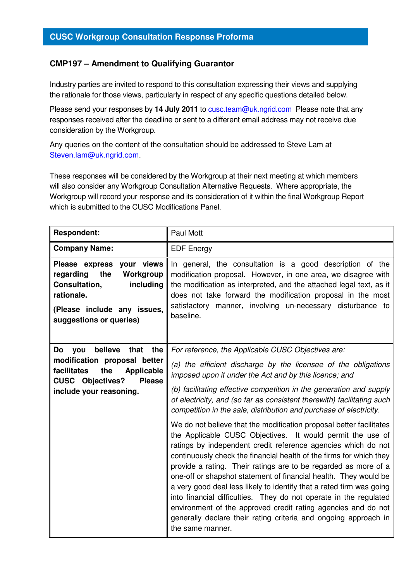## **CMP197 – Amendment to Qualifying Guarantor**

Industry parties are invited to respond to this consultation expressing their views and supplying the rationale for those views, particularly in respect of any specific questions detailed below.

Please send your responses by 14 July 2011 to **cusc.team@uk.ngrid.com** Please note that any responses received after the deadline or sent to a different email address may not receive due consideration by the Workgroup.

Any queries on the content of the consultation should be addressed to Steve Lam at Steven.lam@uk.ngrid.com.

These responses will be considered by the Workgroup at their next meeting at which members will also consider any Workgroup Consultation Alternative Requests. Where appropriate, the Workgroup will record your response and its consideration of it within the final Workgroup Report which is submitted to the CUSC Modifications Panel.

| <b>Respondent:</b>                                                                                                                                                                        | Paul Mott                                                                                                                                                                                                                                                                                                                                                                                                                                                                                                                                                                                                                                                                                                             |
|-------------------------------------------------------------------------------------------------------------------------------------------------------------------------------------------|-----------------------------------------------------------------------------------------------------------------------------------------------------------------------------------------------------------------------------------------------------------------------------------------------------------------------------------------------------------------------------------------------------------------------------------------------------------------------------------------------------------------------------------------------------------------------------------------------------------------------------------------------------------------------------------------------------------------------|
| <b>Company Name:</b>                                                                                                                                                                      | <b>EDF Energy</b>                                                                                                                                                                                                                                                                                                                                                                                                                                                                                                                                                                                                                                                                                                     |
| Please express your views<br>regarding<br>the<br>Workgroup<br>Consultation,<br>including<br>rationale.<br>(Please include any issues,<br>suggestions or queries)                          | In general, the consultation is a good description of the<br>modification proposal. However, in one area, we disagree with<br>the modification as interpreted, and the attached legal text, as it<br>does not take forward the modification proposal in the most<br>satisfactory manner, involving un-necessary disturbance to<br>baseline.                                                                                                                                                                                                                                                                                                                                                                           |
| believe<br>that the<br>Do<br><b>VOU</b><br>modification proposal better<br>facilitates<br>the<br><b>Applicable</b><br><b>CUSC Objectives?</b><br><b>Please</b><br>include your reasoning. | For reference, the Applicable CUSC Objectives are:<br>(a) the efficient discharge by the licensee of the obligations<br>imposed upon it under the Act and by this licence; and<br>(b) facilitating effective competition in the generation and supply<br>of electricity, and (so far as consistent therewith) facilitating such<br>competition in the sale, distribution and purchase of electricity.                                                                                                                                                                                                                                                                                                                 |
|                                                                                                                                                                                           | We do not believe that the modification proposal better facilitates<br>the Applicable CUSC Objectives. It would permit the use of<br>ratings by independent credit reference agencies which do not<br>continuously check the financial health of the firms for which they<br>provide a rating. Their ratings are to be regarded as more of a<br>one-off or shapshot statement of financial health. They would be<br>a very good deal less likely to identify that a rated firm was going<br>into financial difficulties. They do not operate in the regulated<br>environment of the approved credit rating agencies and do not<br>generally declare their rating criteria and ongoing approach in<br>the same manner. |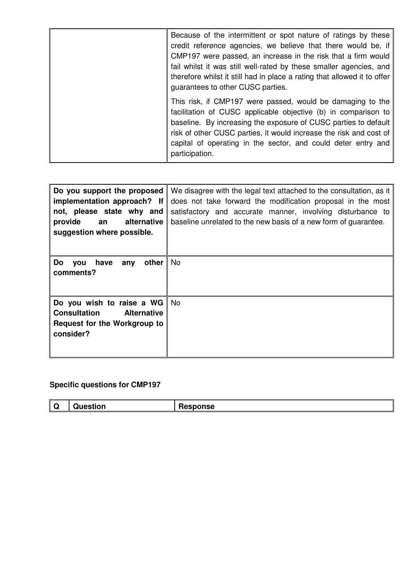| Because of the intermittent or spot nature of ratings by these<br>credit reference agencies, we believe that there would be, if<br>CMP197 were passed, an increase in the risk that a firm would<br>fail whilst it was still well-rated by these smaller agencies, and<br>therefore whilst it still had in place a rating that allowed it to offer<br>guarantees to other CUSC parties. |
|-----------------------------------------------------------------------------------------------------------------------------------------------------------------------------------------------------------------------------------------------------------------------------------------------------------------------------------------------------------------------------------------|
| This risk, if CMP197 were passed, would be damaging to the<br>facilitation of CUSC applicable objective (b) in comparison to<br>baseline. By increasing the exposure of CUSC parties to default<br>risk of other CUSC parties, it would increase the risk and cost of<br>capital of operating in the sector, and could deter entry and<br>participation.                                |

| Do you support the proposed<br>implementation approach? If<br>not, please state why and<br>alternative<br>provide<br>an<br>suggestion where possible. | We disagree with the legal text attached to the consultation, as it<br>does not take forward the modification proposal in the most<br>satisfactory and accurate manner, involving disturbance to<br>baseline unrelated to the new basis of a new form of guarantee. |
|-------------------------------------------------------------------------------------------------------------------------------------------------------|---------------------------------------------------------------------------------------------------------------------------------------------------------------------------------------------------------------------------------------------------------------------|
| other<br>Do<br>have<br>you<br>any<br>comments?                                                                                                        | No.                                                                                                                                                                                                                                                                 |
| Do you wish to raise a WG<br><b>Alternative</b><br>Consultation<br>Request for the Workgroup to<br>consider?                                          | No.                                                                                                                                                                                                                                                                 |

## **Specific questions for CMP197**

| ₩ | ™u0ı.<br>J | sponse |
|---|------------|--------|
|---|------------|--------|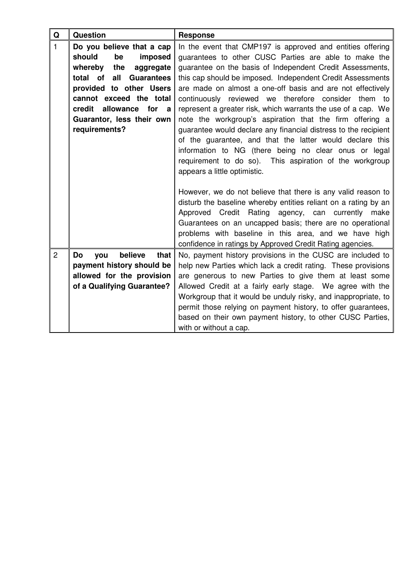| $\mathbf Q$    | <b>Question</b>                      | <b>Response</b>                                                 |
|----------------|--------------------------------------|-----------------------------------------------------------------|
| $\mathbf{1}$   | Do you believe that a cap            | In the event that CMP197 is approved and entities offering      |
|                | should<br>be<br>imposed              | guarantees to other CUSC Parties are able to make the           |
|                | the<br>whereby<br>aggregate          | guarantee on the basis of Independent Credit Assessments,       |
|                | total of<br>all<br><b>Guarantees</b> | this cap should be imposed. Independent Credit Assessments      |
|                | provided to other Users              | are made on almost a one-off basis and are not effectively      |
|                | cannot exceed the total              | continuously reviewed we therefore consider them to             |
|                | credit allowance for a               | represent a greater risk, which warrants the use of a cap. We   |
|                | Guarantor, less their own            | note the workgroup's aspiration that the firm offering a        |
|                | requirements?                        | guarantee would declare any financial distress to the recipient |
|                |                                      | of the guarantee, and that the latter would declare this        |
|                |                                      | information to NG (there being no clear onus or legal           |
|                |                                      | requirement to do so). This aspiration of the workgroup         |
|                |                                      | appears a little optimistic.                                    |
|                |                                      |                                                                 |
|                |                                      | However, we do not believe that there is any valid reason to    |
|                |                                      | disturb the baseline whereby entities reliant on a rating by an |
|                |                                      | Approved Credit Rating agency, can<br>currently<br>make         |
|                |                                      | Guarantees on an uncapped basis; there are no operational       |
|                |                                      | problems with baseline in this area, and we have high           |
|                |                                      | confidence in ratings by Approved Credit Rating agencies.       |
| $\overline{2}$ | believe<br>that<br>Do<br>you         | No, payment history provisions in the CUSC are included to      |
|                | payment history should be            | help new Parties which lack a credit rating. These provisions   |
|                | allowed for the provision            | are generous to new Parties to give them at least some          |
|                | of a Qualifying Guarantee?           | Allowed Credit at a fairly early stage. We agree with the       |
|                |                                      | Workgroup that it would be unduly risky, and inappropriate, to  |
|                |                                      | permit those relying on payment history, to offer guarantees,   |
|                |                                      | based on their own payment history, to other CUSC Parties,      |
|                |                                      | with or without a cap.                                          |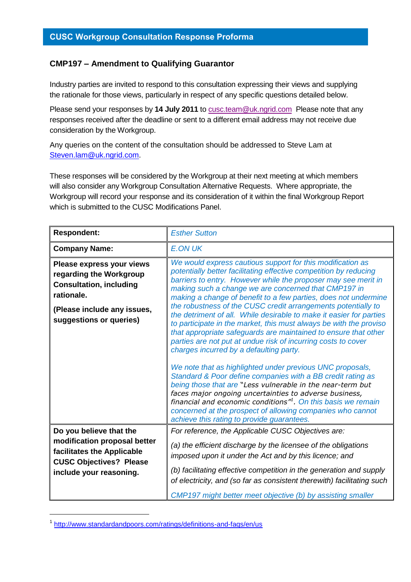## **CMP197 – Amendment to Qualifying Guarantor**

Industry parties are invited to respond to this consultation expressing their views and supplying the rationale for those views, particularly in respect of any specific questions detailed below.

Please send your responses by **14 July 2011** to [cusc.team@uk.ngrid.com](mailto:cusc.team@uk.ngrid.com) Please note that any responses received after the deadline or sent to a different email address may not receive due consideration by the Workgroup.

Any queries on the content of the consultation should be addressed to Steve Lam at [Steven.lam@uk.ngrid.com.](mailto:Steven.lam@uk.ngrid.com)

These responses will be considered by the Workgroup at their next meeting at which members will also consider any Workgroup Consultation Alternative Requests. Where appropriate, the Workgroup will record your response and its consideration of it within the final Workgroup Report which is submitted to the CUSC Modifications Panel.

| <b>Respondent:</b>                                                                                                                                             | <b>Esther Sutton</b>                                                                                                                                                                                                                                                                                                                                                                                                                                                                                                                                                                                                                                                                                                      |
|----------------------------------------------------------------------------------------------------------------------------------------------------------------|---------------------------------------------------------------------------------------------------------------------------------------------------------------------------------------------------------------------------------------------------------------------------------------------------------------------------------------------------------------------------------------------------------------------------------------------------------------------------------------------------------------------------------------------------------------------------------------------------------------------------------------------------------------------------------------------------------------------------|
| <b>Company Name:</b>                                                                                                                                           | <b>E.ON UK</b>                                                                                                                                                                                                                                                                                                                                                                                                                                                                                                                                                                                                                                                                                                            |
| Please express your views<br>regarding the Workgroup<br><b>Consultation, including</b><br>rationale.<br>(Please include any issues,<br>suggestions or queries) | We would express cautious support for this modification as<br>potentially better facilitating effective competition by reducing<br>barriers to entry. However while the proposer may see merit in<br>making such a change we are concerned that CMP197 in<br>making a change of benefit to a few parties, does not undermine<br>the robustness of the CUSC credit arrangements potentially to<br>the detriment of all. While desirable to make it easier for parties<br>to participate in the market, this must always be with the proviso<br>that appropriate safeguards are maintained to ensure that other<br>parties are not put at undue risk of incurring costs to cover<br>charges incurred by a defaulting party. |
|                                                                                                                                                                | We note that as highlighted under previous UNC proposals,<br>Standard & Poor define companies with a BB credit rating as<br>being those that are "Less vulnerable in the near-term but<br>faces major ongoing uncertainties to adverse business,<br>financial and economic conditions" <sup>1</sup> . On this basis we remain<br>concerned at the prospect of allowing companies who cannot<br>achieve this rating to provide guarantees.                                                                                                                                                                                                                                                                                 |
| Do you believe that the<br>modification proposal better<br>facilitates the Applicable<br><b>CUSC Objectives? Please</b><br>include your reasoning.             | For reference, the Applicable CUSC Objectives are:<br>(a) the efficient discharge by the licensee of the obligations<br>imposed upon it under the Act and by this licence; and<br>(b) facilitating effective competition in the generation and supply<br>of electricity, and (so far as consistent therewith) facilitating such<br>CMP197 might better meet objective (b) by assisting smaller                                                                                                                                                                                                                                                                                                                            |

<sup>1</sup> <http://www.standardandpoors.com/ratings/definitions-and-faqs/en/us>

-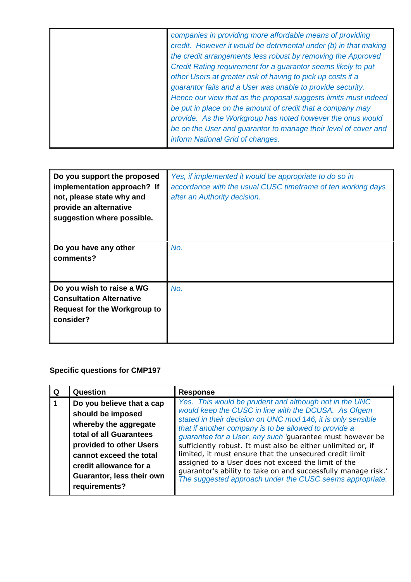| companies in providing more affordable means of providing<br>credit. However it would be detrimental under (b) in that making<br>the credit arrangements less robust by removing the Approved<br>Credit Rating requirement for a guarantor seems likely to put<br>other Users at greater risk of having to pick up costs if a<br>guarantor fails and a User was unable to provide security.<br>Hence our view that as the proposal suggests limits must indeed<br>be put in place on the amount of credit that a company may<br>provide. As the Workgroup has noted however the onus would<br>be on the User and guarantor to manage their level of cover and |
|---------------------------------------------------------------------------------------------------------------------------------------------------------------------------------------------------------------------------------------------------------------------------------------------------------------------------------------------------------------------------------------------------------------------------------------------------------------------------------------------------------------------------------------------------------------------------------------------------------------------------------------------------------------|
| inform National Grid of changes.                                                                                                                                                                                                                                                                                                                                                                                                                                                                                                                                                                                                                              |

| Do you support the proposed<br>implementation approach? If<br>not, please state why and<br>provide an alternative<br>suggestion where possible. | Yes, if implemented it would be appropriate to do so in<br>accordance with the usual CUSC timeframe of ten working days<br>after an Authority decision. |
|-------------------------------------------------------------------------------------------------------------------------------------------------|---------------------------------------------------------------------------------------------------------------------------------------------------------|
| Do you have any other<br>comments?                                                                                                              | No.                                                                                                                                                     |
| Do you wish to raise a WG<br><b>Consultation Alternative</b><br><b>Request for the Workgroup to</b><br>consider?                                | No.                                                                                                                                                     |

## **Specific questions for CMP197**

| Question                                                                                                                                                                                                                         | <b>Response</b>                                                                                                                                                                                                                                                                                                                                                                                                                                                                                                                                                                                                     |
|----------------------------------------------------------------------------------------------------------------------------------------------------------------------------------------------------------------------------------|---------------------------------------------------------------------------------------------------------------------------------------------------------------------------------------------------------------------------------------------------------------------------------------------------------------------------------------------------------------------------------------------------------------------------------------------------------------------------------------------------------------------------------------------------------------------------------------------------------------------|
| Do you believe that a cap<br>should be imposed<br>whereby the aggregate<br>total of all Guarantees<br>provided to other Users<br>cannot exceed the total<br>credit allowance for a<br>Guarantor, less their own<br>requirements? | Yes. This would be prudent and although not in the UNC<br>would keep the CUSC in line with the DCUSA. As Ofgem<br>stated in their decision on UNC mod 146, it is only sensible<br>that if another company is to be allowed to provide a<br>guarantee for a User, any such 'guarantee must however be<br>sufficiently robust. It must also be either unlimited or, if<br>limited, it must ensure that the unsecured credit limit<br>assigned to a User does not exceed the limit of the<br>guarantor's ability to take on and successfully manage risk.'<br>The suggested approach under the CUSC seems appropriate. |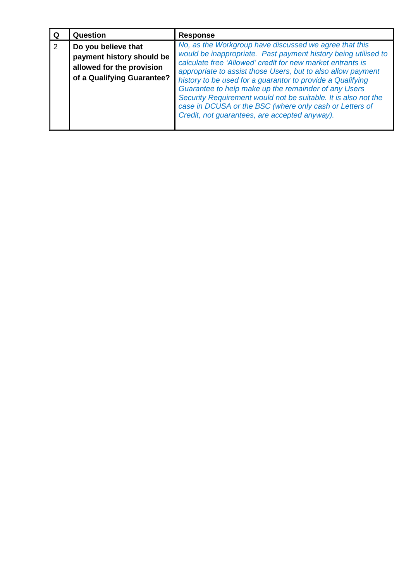|   | Question                                                                                                    | <b>Response</b>                                                                                                                                                                                                                                                                                                                                                                                                                                                                                                                                            |
|---|-------------------------------------------------------------------------------------------------------------|------------------------------------------------------------------------------------------------------------------------------------------------------------------------------------------------------------------------------------------------------------------------------------------------------------------------------------------------------------------------------------------------------------------------------------------------------------------------------------------------------------------------------------------------------------|
| 2 | Do you believe that<br>payment history should be<br>allowed for the provision<br>of a Qualifying Guarantee? | No, as the Workgroup have discussed we agree that this<br>would be inappropriate. Past payment history being utilised to<br>calculate free 'Allowed' credit for new market entrants is<br>appropriate to assist those Users, but to also allow payment<br>history to be used for a guarantor to provide a Qualifying<br>Guarantee to help make up the remainder of any Users<br>Security Requirement would not be suitable. It is also not the<br>case in DCUSA or the BSC (where only cash or Letters of<br>Credit, not guarantees, are accepted anyway). |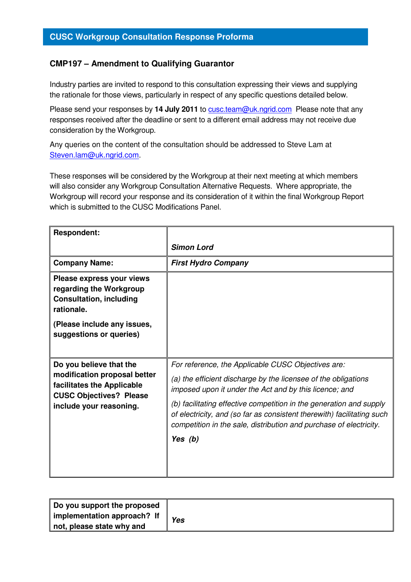## **CMP197 – Amendment to Qualifying Guarantor**

Industry parties are invited to respond to this consultation expressing their views and supplying the rationale for those views, particularly in respect of any specific questions detailed below.

Please send your responses by 14 July 2011 to **cusc.team@uk.ngrid.com** Please note that any responses received after the deadline or sent to a different email address may not receive due consideration by the Workgroup.

Any queries on the content of the consultation should be addressed to Steve Lam at Steven.lam@uk.ngrid.com.

These responses will be considered by the Workgroup at their next meeting at which members will also consider any Workgroup Consultation Alternative Requests. Where appropriate, the Workgroup will record your response and its consideration of it within the final Workgroup Report which is submitted to the CUSC Modifications Panel.

| <b>Respondent:</b>                                                                                                      |                                                                                                                                                                                                                     |
|-------------------------------------------------------------------------------------------------------------------------|---------------------------------------------------------------------------------------------------------------------------------------------------------------------------------------------------------------------|
|                                                                                                                         | <b>Simon Lord</b>                                                                                                                                                                                                   |
| <b>Company Name:</b>                                                                                                    | <b>First Hydro Company</b>                                                                                                                                                                                          |
| Please express your views<br>regarding the Workgroup<br><b>Consultation, including</b><br>rationale.                    |                                                                                                                                                                                                                     |
| (Please include any issues,<br>suggestions or queries)                                                                  |                                                                                                                                                                                                                     |
| Do you believe that the                                                                                                 | For reference, the Applicable CUSC Objectives are:                                                                                                                                                                  |
| modification proposal better<br>facilitates the Applicable<br><b>CUSC Objectives? Please</b><br>include your reasoning. | (a) the efficient discharge by the licensee of the obligations<br>imposed upon it under the Act and by this licence; and                                                                                            |
|                                                                                                                         | (b) facilitating effective competition in the generation and supply<br>of electricity, and (so far as consistent therewith) facilitating such<br>competition in the sale, distribution and purchase of electricity. |
|                                                                                                                         | Yes $(b)$                                                                                                                                                                                                           |
|                                                                                                                         |                                                                                                                                                                                                                     |

| Do you support the proposed |     |
|-----------------------------|-----|
| implementation approach? If | Yes |
| not, please state why and   |     |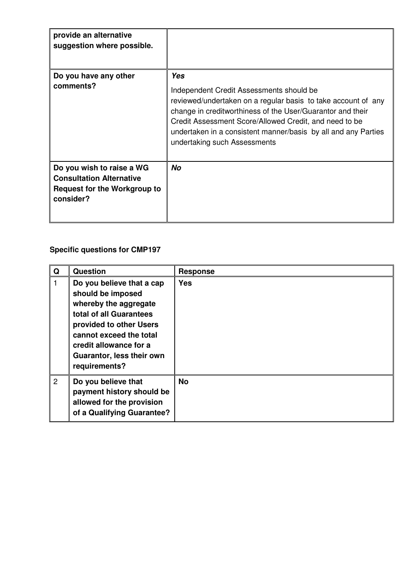| provide an alternative<br>suggestion where possible.                                                             |                                                                                                                                                                                                                                                                                                                                            |
|------------------------------------------------------------------------------------------------------------------|--------------------------------------------------------------------------------------------------------------------------------------------------------------------------------------------------------------------------------------------------------------------------------------------------------------------------------------------|
| Do you have any other<br>comments?                                                                               | Yes<br>Independent Credit Assessments should be<br>reviewed/undertaken on a regular basis to take account of any<br>change in creditworthiness of the User/Guarantor and their<br>Credit Assessment Score/Allowed Credit, and need to be<br>undertaken in a consistent manner/basis by all and any Parties<br>undertaking such Assessments |
| Do you wish to raise a WG<br><b>Consultation Alternative</b><br><b>Request for the Workgroup to</b><br>consider? | No                                                                                                                                                                                                                                                                                                                                         |

## **Specific questions for CMP197**

| Q              | <b>Question</b>                                                                                                                                                                                                                  | <b>Response</b> |
|----------------|----------------------------------------------------------------------------------------------------------------------------------------------------------------------------------------------------------------------------------|-----------------|
|                | Do you believe that a cap<br>should be imposed<br>whereby the aggregate<br>total of all Guarantees<br>provided to other Users<br>cannot exceed the total<br>credit allowance for a<br>Guarantor, less their own<br>requirements? | <b>Yes</b>      |
| $\overline{2}$ | Do you believe that<br>payment history should be<br>allowed for the provision<br>of a Qualifying Guarantee?                                                                                                                      | <b>No</b>       |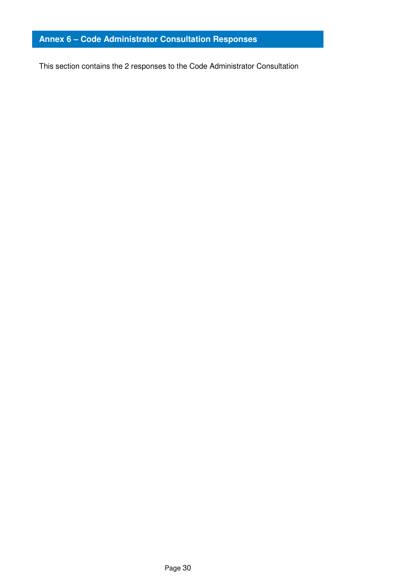## **Annex 6 – Code Administrator Consultation Responses**

This section contains the 2 responses to the Code Administrator Consultation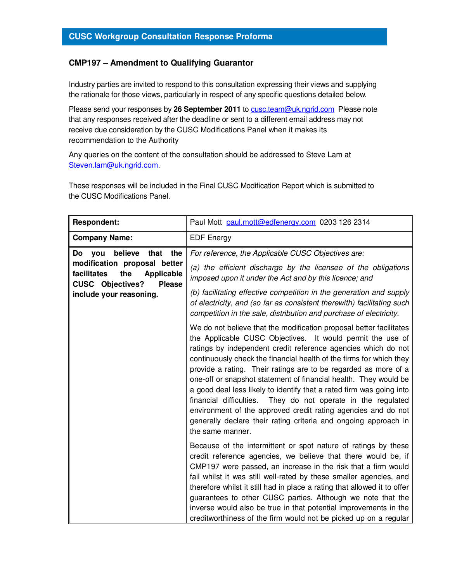## **CMP197 – Amendment to Qualifying Guarantor**

Industry parties are invited to respond to this consultation expressing their views and supplying the rationale for those views, particularly in respect of any specific questions detailed below.

Please send your responses by 26 September 2011 to cusc.team@uk.ngrid.com Please note that any responses received after the deadline or sent to a different email address may not receive due consideration by the CUSC Modifications Panel when it makes its recommendation to the Authority

Any queries on the content of the consultation should be addressed to Steve Lam at Steven.lam@uk.ngrid.com.

These responses will be included in the Final CUSC Modification Report which is submitted to the CUSC Modifications Panel.

| <b>Respondent:</b>                                                                                                                                                                 | Paul Mott paul.mott@edfenergy.com 0203 126 2314                                                                                                                                                                                                                                                                                                                                                                                                                                                                                                                                                                                                                                                                  |
|------------------------------------------------------------------------------------------------------------------------------------------------------------------------------------|------------------------------------------------------------------------------------------------------------------------------------------------------------------------------------------------------------------------------------------------------------------------------------------------------------------------------------------------------------------------------------------------------------------------------------------------------------------------------------------------------------------------------------------------------------------------------------------------------------------------------------------------------------------------------------------------------------------|
| <b>Company Name:</b>                                                                                                                                                               | <b>EDF</b> Energy                                                                                                                                                                                                                                                                                                                                                                                                                                                                                                                                                                                                                                                                                                |
| believe<br>that the<br>Do<br>you<br>modification proposal better<br>the<br>facilitates<br><b>Applicable</b><br><b>CUSC Objectives?</b><br><b>Please</b><br>include your reasoning. | For reference, the Applicable CUSC Objectives are:<br>(a) the efficient discharge by the licensee of the obligations<br>imposed upon it under the Act and by this licence; and<br>(b) facilitating effective competition in the generation and supply<br>of electricity, and (so far as consistent therewith) facilitating such<br>competition in the sale, distribution and purchase of electricity.                                                                                                                                                                                                                                                                                                            |
|                                                                                                                                                                                    | We do not believe that the modification proposal better facilitates<br>the Applicable CUSC Objectives. It would permit the use of<br>ratings by independent credit reference agencies which do not<br>continuously check the financial health of the firms for which they<br>provide a rating. Their ratings are to be regarded as more of a<br>one-off or snapshot statement of financial health. They would be<br>a good deal less likely to identify that a rated firm was going into<br>financial difficulties. They do not operate in the regulated<br>environment of the approved credit rating agencies and do not<br>generally declare their rating criteria and ongoing approach in<br>the same manner. |
|                                                                                                                                                                                    | Because of the intermittent or spot nature of ratings by these<br>credit reference agencies, we believe that there would be, if<br>CMP197 were passed, an increase in the risk that a firm would<br>fail whilst it was still well-rated by these smaller agencies, and<br>therefore whilst it still had in place a rating that allowed it to offer<br>guarantees to other CUSC parties. Although we note that the<br>inverse would also be true in that potential improvements in the<br>creditworthiness of the firm would not be picked up on a regular                                                                                                                                                        |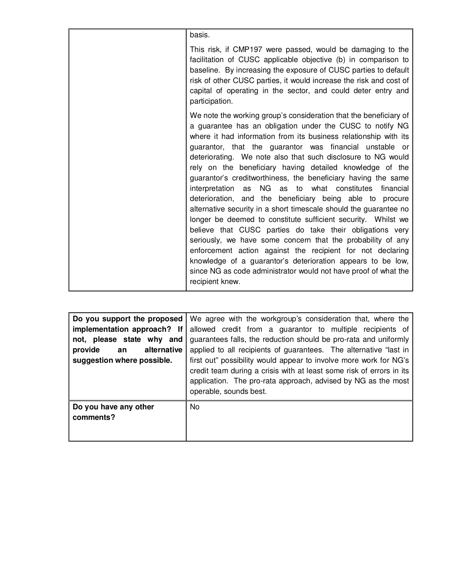| basis.                                                                                                                                                                                                                                                                                                                                                                                                                                                                                                                                                                                                                                                                                                                                                                                                                                                                                                                                                                                                                                                    |
|-----------------------------------------------------------------------------------------------------------------------------------------------------------------------------------------------------------------------------------------------------------------------------------------------------------------------------------------------------------------------------------------------------------------------------------------------------------------------------------------------------------------------------------------------------------------------------------------------------------------------------------------------------------------------------------------------------------------------------------------------------------------------------------------------------------------------------------------------------------------------------------------------------------------------------------------------------------------------------------------------------------------------------------------------------------|
| This risk, if CMP197 were passed, would be damaging to the<br>facilitation of CUSC applicable objective (b) in comparison to<br>baseline. By increasing the exposure of CUSC parties to default<br>risk of other CUSC parties, it would increase the risk and cost of<br>capital of operating in the sector, and could deter entry and<br>participation.                                                                                                                                                                                                                                                                                                                                                                                                                                                                                                                                                                                                                                                                                                  |
| We note the working group's consideration that the beneficiary of<br>a guarantee has an obligation under the CUSC to notify NG<br>where it had information from its business relationship with its<br>guarantor, that the guarantor was financial unstable or<br>deteriorating. We note also that such disclosure to NG would<br>rely on the beneficiary having detailed knowledge of the<br>guarantor's creditworthiness, the beneficiary having the same<br>NG as to what constitutes<br>interpretation<br>as<br>financial<br>deterioration, and the beneficiary being able to procure<br>alternative security in a short timescale should the guarantee no<br>longer be deemed to constitute sufficient security. Whilst we<br>believe that CUSC parties do take their obligations very<br>seriously, we have some concern that the probability of any<br>enforcement action against the recipient for not declaring<br>knowledge of a guarantor's deterioration appears to be low,<br>since NG as code administrator would not have proof of what the |
| recipient knew.                                                                                                                                                                                                                                                                                                                                                                                                                                                                                                                                                                                                                                                                                                                                                                                                                                                                                                                                                                                                                                           |

| Do you support the proposed<br>implementation approach? If<br>not, please state why and<br>alternative<br>provide<br>an<br>suggestion where possible. | We agree with the workgroup's consideration that, where the<br>allowed credit from a guarantor to multiple recipients of<br>guarantees falls, the reduction should be pro-rata and uniformly<br>applied to all recipients of guarantees. The alternative "last in<br>first out" possibility would appear to involve more work for NG's<br>credit team during a crisis with at least some risk of errors in its<br>application. The pro-rata approach, advised by NG as the most<br>operable, sounds best. |
|-------------------------------------------------------------------------------------------------------------------------------------------------------|-----------------------------------------------------------------------------------------------------------------------------------------------------------------------------------------------------------------------------------------------------------------------------------------------------------------------------------------------------------------------------------------------------------------------------------------------------------------------------------------------------------|
| Do you have any other<br>comments?                                                                                                                    | No.                                                                                                                                                                                                                                                                                                                                                                                                                                                                                                       |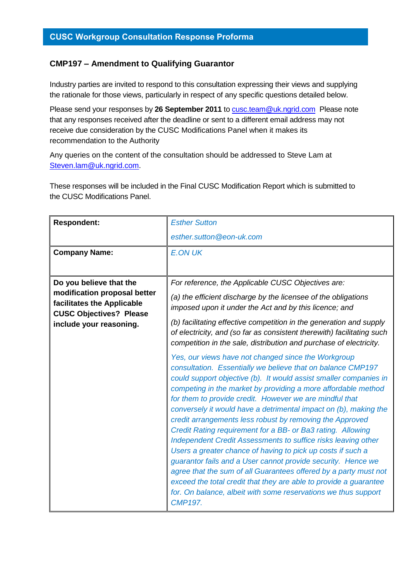## **CMP197 – Amendment to Qualifying Guarantor**

Industry parties are invited to respond to this consultation expressing their views and supplying the rationale for those views, particularly in respect of any specific questions detailed below.

Please send your responses by **26 September 2011** to [cusc.team@uk.ngrid.com](mailto:cusc.team@uk.ngrid.com) Please note that any responses received after the deadline or sent to a different email address may not receive due consideration by the CUSC Modifications Panel when it makes its recommendation to the Authority

Any queries on the content of the consultation should be addressed to Steve Lam at [Steven.lam@uk.ngrid.com.](mailto:Steven.lam@uk.ngrid.com)

These responses will be included in the Final CUSC Modification Report which is submitted to the CUSC Modifications Panel.

| <b>Respondent:</b>                                                                           | <b>Esther Sutton</b>                                                                                                                                                                                                                                                                                                                                                                                                                                                                                                                                                                                                                                                                                                                                                                                                                                                                                                                            |
|----------------------------------------------------------------------------------------------|-------------------------------------------------------------------------------------------------------------------------------------------------------------------------------------------------------------------------------------------------------------------------------------------------------------------------------------------------------------------------------------------------------------------------------------------------------------------------------------------------------------------------------------------------------------------------------------------------------------------------------------------------------------------------------------------------------------------------------------------------------------------------------------------------------------------------------------------------------------------------------------------------------------------------------------------------|
|                                                                                              | esther.sutton@eon-uk.com                                                                                                                                                                                                                                                                                                                                                                                                                                                                                                                                                                                                                                                                                                                                                                                                                                                                                                                        |
| <b>Company Name:</b>                                                                         | <b>E.ON UK</b>                                                                                                                                                                                                                                                                                                                                                                                                                                                                                                                                                                                                                                                                                                                                                                                                                                                                                                                                  |
|                                                                                              |                                                                                                                                                                                                                                                                                                                                                                                                                                                                                                                                                                                                                                                                                                                                                                                                                                                                                                                                                 |
| Do you believe that the                                                                      | For reference, the Applicable CUSC Objectives are:                                                                                                                                                                                                                                                                                                                                                                                                                                                                                                                                                                                                                                                                                                                                                                                                                                                                                              |
| modification proposal better<br>facilitates the Applicable<br><b>CUSC Objectives? Please</b> | (a) the efficient discharge by the licensee of the obligations<br>imposed upon it under the Act and by this licence; and                                                                                                                                                                                                                                                                                                                                                                                                                                                                                                                                                                                                                                                                                                                                                                                                                        |
| include your reasoning.                                                                      | (b) facilitating effective competition in the generation and supply<br>of electricity, and (so far as consistent therewith) facilitating such<br>competition in the sale, distribution and purchase of electricity.                                                                                                                                                                                                                                                                                                                                                                                                                                                                                                                                                                                                                                                                                                                             |
|                                                                                              | Yes, our views have not changed since the Workgroup<br>consultation. Essentially we believe that on balance CMP197<br>could support objective (b). It would assist smaller companies in<br>competing in the market by providing a more affordable method<br>for them to provide credit. However we are mindful that<br>conversely it would have a detrimental impact on (b), making the<br>credit arrangements less robust by removing the Approved<br>Credit Rating requirement for a BB- or Ba3 rating. Allowing<br>Independent Credit Assessments to suffice risks leaving other<br>Users a greater chance of having to pick up costs if such a<br>guarantor fails and a User cannot provide security. Hence we<br>agree that the sum of all Guarantees offered by a party must not<br>exceed the total credit that they are able to provide a guarantee<br>for. On balance, albeit with some reservations we thus support<br><b>CMP197.</b> |